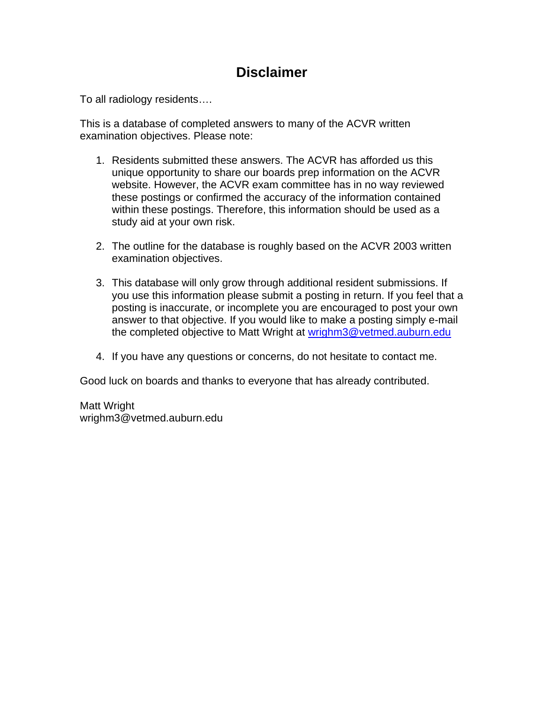### **Disclaimer**

To all radiology residents….

This is a database of completed answers to many of the ACVR written examination objectives. Please note:

- 1. Residents submitted these answers. The ACVR has afforded us this unique opportunity to share our boards prep information on the ACVR website. However, the ACVR exam committee has in no way reviewed these postings or confirmed the accuracy of the information contained within these postings. Therefore, this information should be used as a study aid at your own risk.
- 2. The outline for the database is roughly based on the ACVR 2003 written examination objectives.
- 3. This database will only grow through additional resident submissions. If you use this information please submit a posting in return. If you feel that a posting is inaccurate, or incomplete you are encouraged to post your own answer to that objective. If you would like to make a posting simply e-mail the completed objective to Matt Wright at wrighm3@vetmed.auburn.edu
- 4. If you have any questions or concerns, do not hesitate to contact me.

Good luck on boards and thanks to everyone that has already contributed.

Matt Wright wrighm3@vetmed.auburn.edu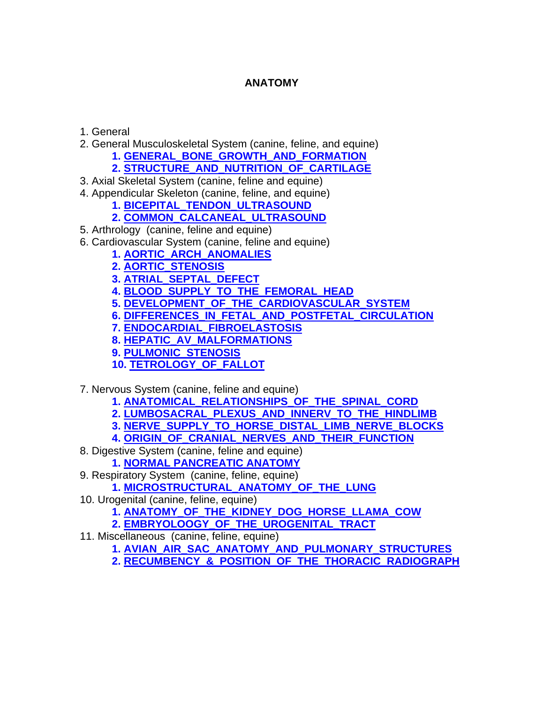### **ANATOMY**

1. General

- 2. General Musculoskeletal System (canine, feline, and equine)
	- **[1. GENERAL\\_BONE\\_GROWTH\\_AND\\_FORMATION](#page-2-0)**
	- **[2. STRUCTURE\\_AND\\_NUTRITION\\_OF\\_CARTILAGE](#page-5-0)**
- 3. Axial Skeletal System (canine, feline and equine)
- 4. Appendicular Skeleton (canine, feline, and equine)
	- **[1. BICEPITAL\\_TENDON\\_ULTRASOUND](#page-6-0)**
	- **[2. COMMON\\_CALCANEAL\\_ULTRASOUND](#page-9-0)**
- 5. Arthrology (canine, feline and equine)
- 6. Cardiovascular System (canine, feline and equine)
	- **[1. AORTIC\\_ARCH\\_ANOMALIES](#page-11-0)**
	- **[2. AORTIC\\_STENOSIS](#page-14-0)**
	- **[3. ATRIAL\\_SEPTAL\\_DEFECT](#page-16-0)**
	- **[4. BLOOD\\_SUPPLY\\_TO\\_THE\\_FEMORAL\\_HEAD](#page-18-0)**
	- **[5. DEVELOPMENT\\_OF\\_THE\\_CARDIOVASCULAR\\_SYSTEM](#page-19-0)**
	- **[6. DIFFERENCES\\_IN\\_FETAL\\_AND\\_POSTFETAL\\_CIRCULATION](#page-21-0)**
	- **[7. ENDOCARDIAL\\_FIBROELASTOSIS](#page-22-0)**
	- **[8. HEPATIC\\_AV\\_MALFORMATIONS](#page-23-0)**
	- **[9. PULMONIC\\_STENOSIS](#page-25-0)**
	- **[10. TETROLOGY\\_OF\\_FALLOT](#page-27-0)**
- 7. Nervous System (canine, feline and equine)
	- **[1. ANATOMICAL\\_RELATIONSHIPS\\_OF\\_THE\\_SPINAL\\_CORD](#page-29-0)**
	- **[2. LUMBOSACRAL\\_PLEXUS\\_AND\\_INNERV\\_TO\\_THE\\_HINDLIMB](#page-33-0)**
	- **[3. NERVE\\_SUPPLY\\_TO\\_HORSE\\_DISTAL\\_LIMB\\_NERVE\\_BLOCKS](#page-34-0)**
	- **[4. ORIGIN\\_OF\\_CRANIAL\\_NERVES\\_AND\\_THEIR\\_FUNCTION](#page-36-0)**
- 8. Digestive System (canine, feline and equine)
	- **[1. NORMAL PANCREATIC ANATOMY](#page-41-0)**
- 9. Respiratory System (canine, feline, equine)
	- **[1. MICROSTRUCTURAL\\_ANATOMY\\_OF\\_THE\\_LUNG](#page-50-0)**
- 10. Urogenital (canine, feline, equine)
	- **[1. ANATOMY\\_OF\\_THE\\_KIDNEY\\_DOG\\_HORSE\\_LLAMA\\_COW](#page-52-0)**
	- **[2. EMBRYOLOOGY\\_OF\\_THE\\_UROGENITAL\\_TRACT](#page-55-0)**
- 11. Miscellaneous (canine, feline, equine)
	- **[1. AVIAN\\_AIR\\_SAC\\_ANATOMY\\_AND\\_PULMONARY\\_STRUCTURES](#page-58-0)**
	- **[2. RECUMBENCY\\_&\\_POSITION\\_OF\\_THE\\_THORACIC\\_RADIOGRAPH](#page-60-0)**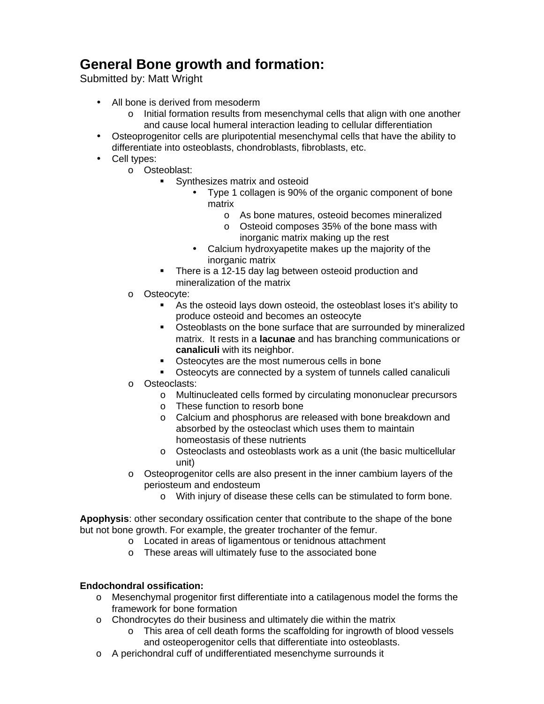### <span id="page-2-0"></span>**General Bone growth and formation:**

Submitted by: Matt Wright

- All bone is derived from mesoderm
	- $\circ$  Initial formation results from mesenchymal cells that align with one another and cause local humeral interaction leading to cellular differentiation
- Osteoprogenitor cells are pluripotential mesenchymal cells that have the ability to differentiate into osteoblasts, chondroblasts, fibroblasts, etc.
- Cell types:
	- o Osteoblast:
		- ! Synthesizes matrix and osteoid
			- Type 1 collagen is 90% of the organic component of bone matrix
				- o As bone matures, osteoid becomes mineralized
				- o Osteoid composes 35% of the bone mass with inorganic matrix making up the rest
			- Calcium hydroxyapetite makes up the majority of the inorganic matrix
		- There is a 12-15 day lag between osteoid production and mineralization of the matrix
	- o Osteocyte:
		- ! As the osteoid lays down osteoid, the osteoblast loses it's ability to produce osteoid and becomes an osteocyte
		- **Osteoblasts on the bone surface that are surrounded by mineralized** matrix. It rests in a **lacunae** and has branching communications or **canaliculi** with its neighbor.
		- ! Osteocytes are the most numerous cells in bone
		- ! Osteocyts are connected by a system of tunnels called canaliculi
	- o Osteoclasts:
		- o Multinucleated cells formed by circulating mononuclear precursors
		- o These function to resorb bone
		- o Calcium and phosphorus are released with bone breakdown and absorbed by the osteoclast which uses them to maintain homeostasis of these nutrients
		- o Osteoclasts and osteoblasts work as a unit (the basic multicellular unit)
	- $\circ$  Osteoprogenitor cells are also present in the inner cambium layers of the periosteum and endosteum
		- o With injury of disease these cells can be stimulated to form bone.

**Apophysis**: other secondary ossification center that contribute to the shape of the bone but not bone growth. For example, the greater trochanter of the femur.

- o Located in areas of ligamentous or tenidnous attachment
- o These areas will ultimately fuse to the associated bone

#### **Endochondral ossification:**

- o Mesenchymal progenitor first differentiate into a catilagenous model the forms the framework for bone formation
- o Chondrocytes do their business and ultimately die within the matrix
	- o This area of cell death forms the scaffolding for ingrowth of blood vessels and osteoperogenitor cells that differentiate into osteoblasts.
- o A perichondral cuff of undifferentiated mesenchyme surrounds it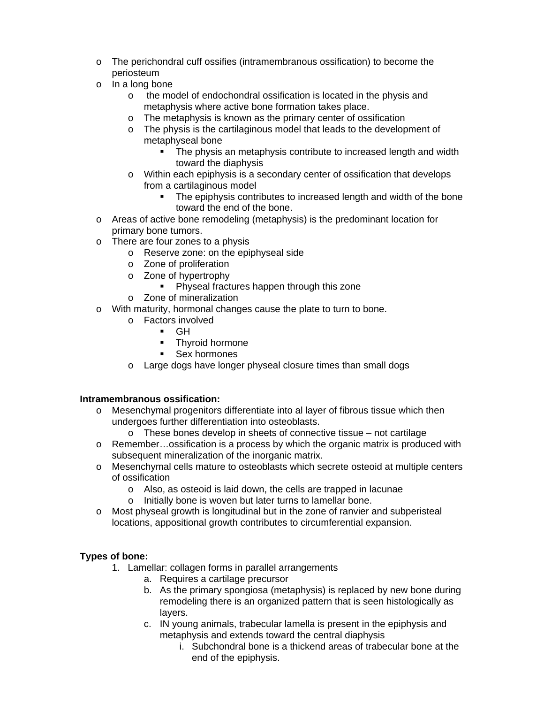- o The perichondral cuff ossifies (intramembranous ossification) to become the periosteum
- o In a long bone
	- o the model of endochondral ossification is located in the physis and metaphysis where active bone formation takes place.
	- o The metaphysis is known as the primary center of ossification
	- o The physis is the cartilaginous model that leads to the development of metaphyseal bone
		- The physis an metaphysis contribute to increased length and width toward the diaphysis
	- $\circ$  Within each epiphysis is a secondary center of ossification that develops from a cartilaginous model
		- ! The epiphysis contributes to increased length and width of the bone toward the end of the bone.
- o Areas of active bone remodeling (metaphysis) is the predominant location for primary bone tumors.
- o There are four zones to a physis
	- o Reserve zone: on the epiphyseal side
	- o Zone of proliferation
	- o Zone of hypertrophy
		- **Physeal fractures happen through this zone**
	- o Zone of mineralization
- o With maturity, hormonal changes cause the plate to turn to bone.
	- o Factors involved
		- $\blacksquare$  GH
		- Thvroid hormone
		- ! Sex hormones
	- o Large dogs have longer physeal closure times than small dogs

#### **Intramembranous ossification:**

- $\circ$  Mesenchymal progenitors differentiate into al layer of fibrous tissue which then undergoes further differentiation into osteoblasts.
	- o These bones develop in sheets of connective tissue not cartilage
- $\circ$  Remember...ossification is a process by which the organic matrix is produced with subsequent mineralization of the inorganic matrix.
- o Mesenchymal cells mature to osteoblasts which secrete osteoid at multiple centers of ossification
	- o Also, as osteoid is laid down, the cells are trapped in lacunae
	- o Initially bone is woven but later turns to lamellar bone.
- o Most physeal growth is longitudinal but in the zone of ranvier and subperisteal locations, appositional growth contributes to circumferential expansion.

### **Types of bone:**

- 1. Lamellar: collagen forms in parallel arrangements
	- a. Requires a cartilage precursor
	- b. As the primary spongiosa (metaphysis) is replaced by new bone during remodeling there is an organized pattern that is seen histologically as layers.
	- c. IN young animals, trabecular lamella is present in the epiphysis and metaphysis and extends toward the central diaphysis
		- i. Subchondral bone is a thickend areas of trabecular bone at the end of the epiphysis.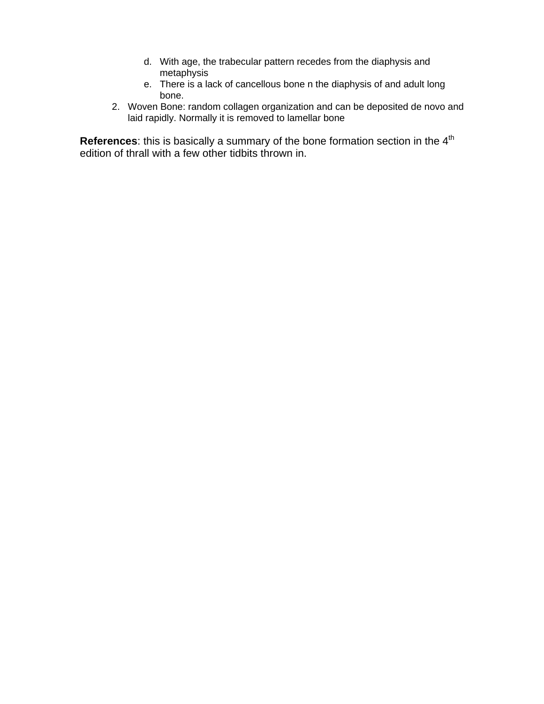- d. With age, the trabecular pattern recedes from the diaphysis and metaphysis
- e. There is a lack of cancellous bone n the diaphysis of and adult long bone.
- 2. Woven Bone: random collagen organization and can be deposited de novo and laid rapidly. Normally it is removed to lamellar bone

**References**: this is basically a summary of the bone formation section in the 4<sup>th</sup> edition of thrall with a few other tidbits thrown in.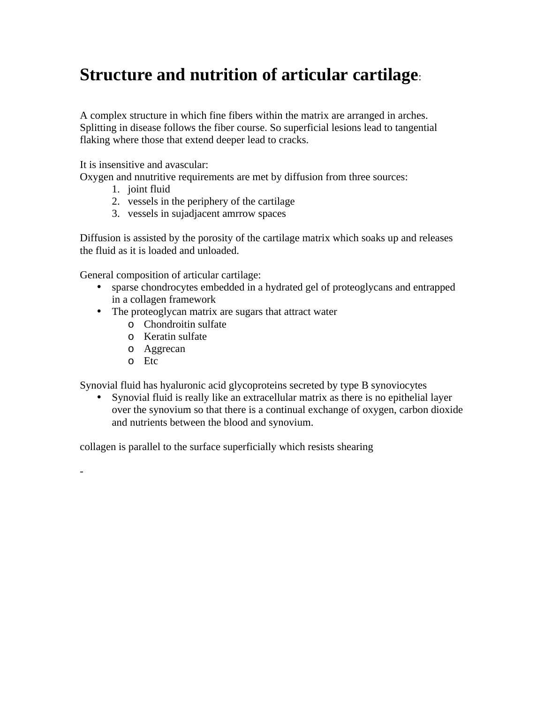## <span id="page-5-0"></span>**Structure and nutrition of articular cartilage**:

A complex structure in which fine fibers within the matrix are arranged in arches. Splitting in disease follows the fiber course. So superficial lesions lead to tangential flaking where those that extend deeper lead to cracks.

It is insensitive and avascular:

Oxygen and nnutritive requirements are met by diffusion from three sources:

- 1. joint fluid
- 2. vessels in the periphery of the cartilage
- 3. vessels in sujadjacent amrrow spaces

Diffusion is assisted by the porosity of the cartilage matrix which soaks up and releases the fluid as it is loaded and unloaded.

General composition of articular cartilage:

- sparse chondrocytes embedded in a hydrated gel of proteoglycans and entrapped in a collagen framework
- The proteoglycan matrix are sugars that attract water
	- o Chondroitin sulfate
	- o Keratin sulfate
	- o Aggrecan
	- o Etc

-

Synovial fluid has hyaluronic acid glycoproteins secreted by type B synoviocytes

• Synovial fluid is really like an extracellular matrix as there is no epithelial layer over the synovium so that there is a continual exchange of oxygen, carbon dioxide and nutrients between the blood and synovium.

collagen is parallel to the surface superficially which resists shearing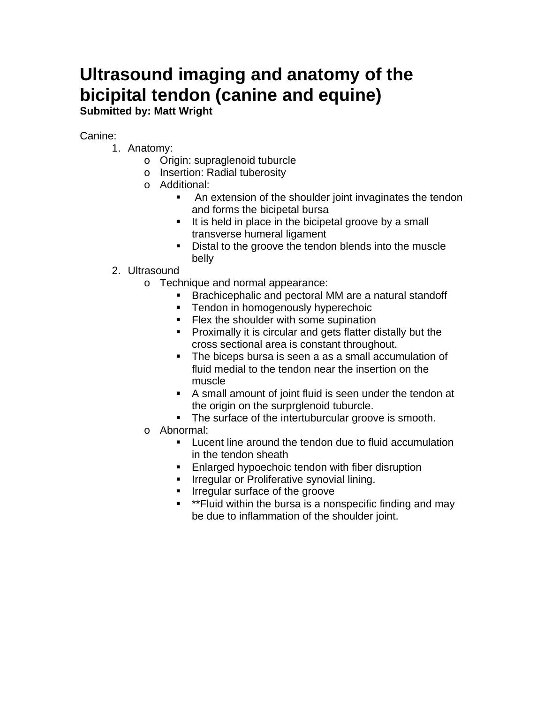# <span id="page-6-0"></span>**Ultrasound imaging and anatomy of the bicipital tendon (canine and equine)**

**Submitted by: Matt Wright**

### Canine:

- 1. Anatomy:
	- o Origin: supraglenoid tuburcle
	- o Insertion: Radial tuberosity
	- o Additional:
		- **EXTER 1** An extension of the shoulder joint invaginates the tendon and forms the bicipetal bursa
		- ! It is held in place in the bicipetal groove by a small transverse humeral ligament
		- ! Distal to the groove the tendon blends into the muscle belly

### 2. Ultrasound

- o Technique and normal appearance:
	- ! Brachicephalic and pectoral MM are a natural standoff
	- **EXECT** Tendon in homogenously hyperechoic
	- **EXA** Flex the shoulder with some supination
	- ! Proximally it is circular and gets flatter distally but the cross sectional area is constant throughout.
	- ! The biceps bursa is seen a as a small accumulation of fluid medial to the tendon near the insertion on the muscle
	- ! A small amount of joint fluid is seen under the tendon at the origin on the surprglenoid tuburcle.
	- **The surface of the intertuburcular groove is smooth.**
- o Abnormal:
	- **EXECTE:** Lucent line around the tendon due to fluid accumulation in the tendon sheath
	- **Enlarged hypoechoic tendon with fiber disruption**
	- **IFFE** Irregular or Proliferative synovial lining.
	- **If Irregular surface of the groove**
	- **EXECT** \*\*Fluid within the bursa is a nonspecific finding and may be due to inflammation of the shoulder joint.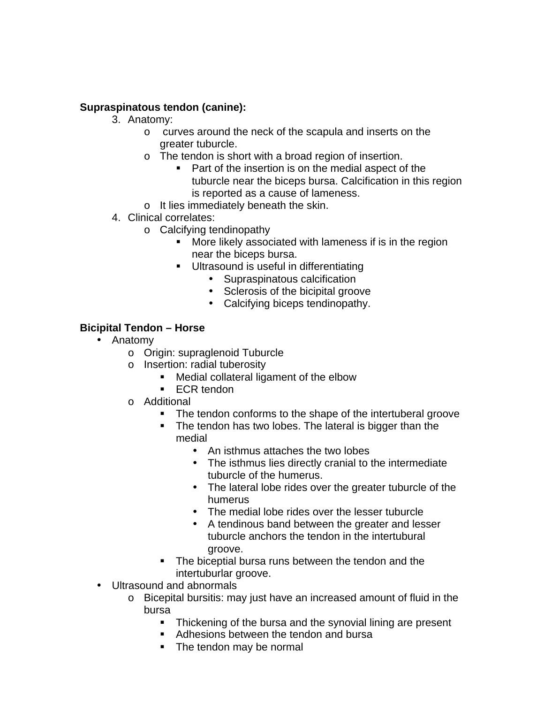### **Supraspinatous tendon (canine):**

- 3. Anatomy:
	- o curves around the neck of the scapula and inserts on the greater tuburcle.
	- o The tendon is short with a broad region of insertion.
		- ! Part of the insertion is on the medial aspect of the tuburcle near the biceps bursa. Calcification in this region is reported as a cause of lameness.
	- o It lies immediately beneath the skin.
- 4. Clinical correlates:
	- o Calcifying tendinopathy
		- **More likely associated with lameness if is in the region** near the biceps bursa.
		- **Ultrasound is useful in differentiating** 
			- Supraspinatous calcification
			- Sclerosis of the bicipital groove
			- Calcifying biceps tendinopathy.

### **Bicipital Tendon – Horse**

- Anatomy
	- o Origin: supraglenoid Tuburcle
	- o Insertion: radial tuberosity
		- Medial collateral ligament of the elbow
			- **ECR** tendon
	- o Additional
		- **The tendon conforms to the shape of the intertuberal groove**
		- ! The tendon has two lobes. The lateral is bigger than the medial
			- An isthmus attaches the two lobes
			- The isthmus lies directly cranial to the intermediate tuburcle of the humerus.
			- The lateral lobe rides over the greater tuburcle of the humerus
			- The medial lobe rides over the lesser tuburcle
			- A tendinous band between the greater and lesser tuburcle anchors the tendon in the intertubural groove.
		- The biceptial bursa runs between the tendon and the intertuburlar groove.
- Ultrasound and abnormals
	- o Bicepital bursitis: may just have an increased amount of fluid in the bursa
		- **.** Thickening of the bursa and the synovial lining are present
		- **EXEC** Adhesions between the tendon and bursa
		- The tendon may be normal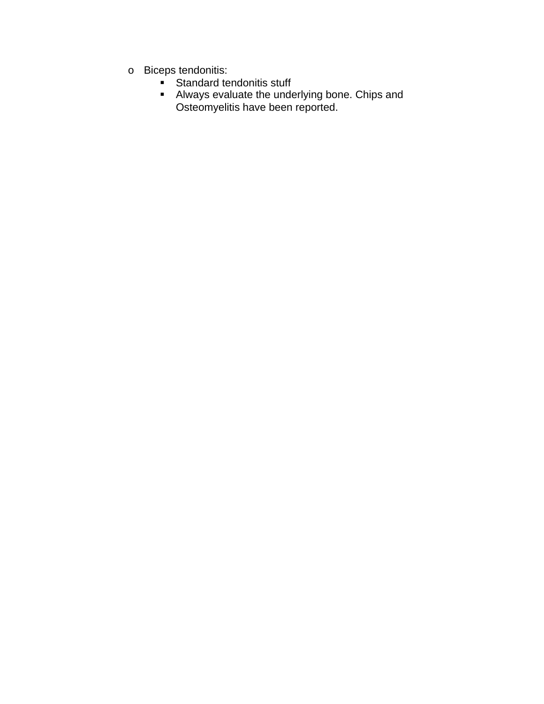- o Biceps tendonitis:
	- **EXEC** Standard tendonitis stuff
	- **E** Always evaluate the underlying bone. Chips and Osteomyelitis have been reported.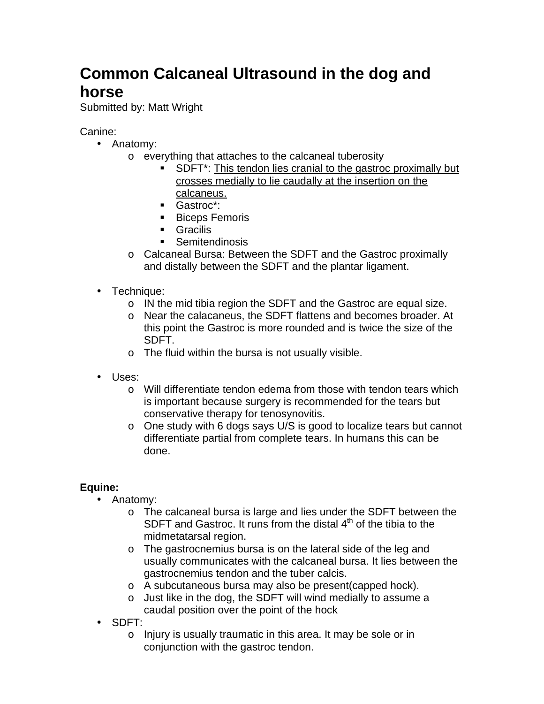## <span id="page-9-0"></span>**Common Calcaneal Ultrasound in the dog and horse**

Submitted by: Matt Wright

### Canine:

- Anatomy:
	- o everything that attaches to the calcaneal tuberosity
		- **EXECT:** SDFT\*: This tendon lies cranial to the gastroc proximally but crosses medially to lie caudally at the insertion on the calcaneus.
		- ! Gastroc\*:
		- **Biceps Femoris**
		- ! Gracilis
		- **E** Semitendinosis
	- o Calcaneal Bursa: Between the SDFT and the Gastroc proximally and distally between the SDFT and the plantar ligament.
- Technique:
	- o IN the mid tibia region the SDFT and the Gastroc are equal size.
	- o Near the calacaneus, the SDFT flattens and becomes broader. At this point the Gastroc is more rounded and is twice the size of the SDFT.
	- o The fluid within the bursa is not usually visible.
- Uses:
	- o Will differentiate tendon edema from those with tendon tears which is important because surgery is recommended for the tears but conservative therapy for tenosynovitis.
	- o One study with 6 dogs says U/S is good to localize tears but cannot differentiate partial from complete tears. In humans this can be done.

### **Equine:**

- Anatomy:
	- o The calcaneal bursa is large and lies under the SDFT between the SDFT and Gastroc. It runs from the distal  $4<sup>th</sup>$  of the tibia to the midmetatarsal region.
	- o The gastrocnemius bursa is on the lateral side of the leg and usually communicates with the calcaneal bursa. It lies between the gastrocnemius tendon and the tuber calcis.
	- o A subcutaneous bursa may also be present(capped hock).
	- o Just like in the dog, the SDFT will wind medially to assume a caudal position over the point of the hock
- SDFT:
	- o Injury is usually traumatic in this area. It may be sole or in conjunction with the gastroc tendon.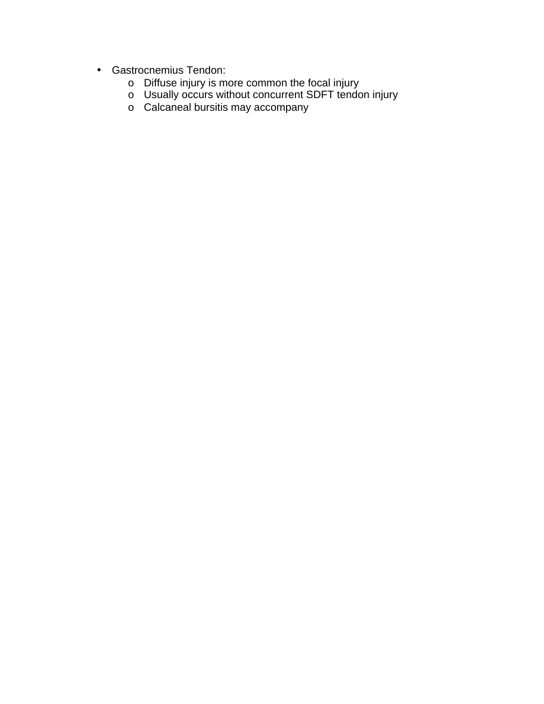- Gastrocnemius Tendon:
	- o Diffuse injury is more common the focal injury
	- o Usually occurs without concurrent SDFT tendon injury
	- o Calcaneal bursitis may accompany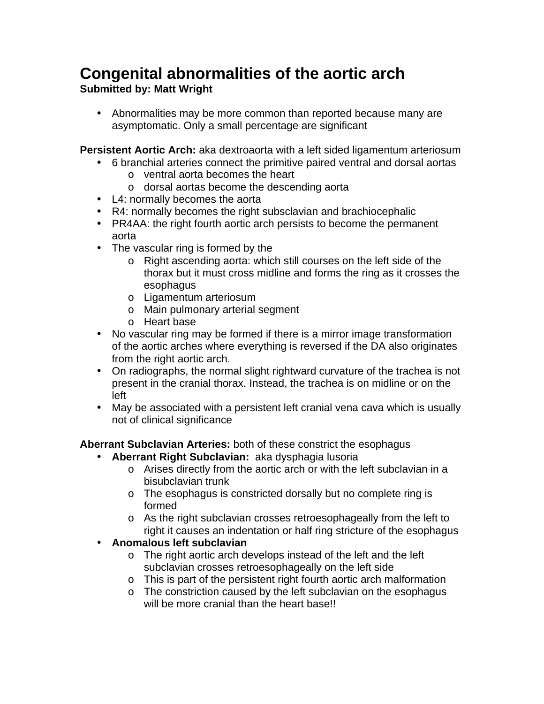## <span id="page-11-0"></span>**Congenital abnormalities of the aortic arch**

### **Submitted by: Matt Wright**

• Abnormalities may be more common than reported because many are asymptomatic. Only a small percentage are significant

**Persistent Aortic Arch:** aka dextroaorta with a left sided ligamentum arteriosum

- 6 branchial arteries connect the primitive paired ventral and dorsal aortas o ventral aorta becomes the heart
	- o dorsal aortas become the descending aorta
- L4: normally becomes the aorta
- R4: normally becomes the right subsclavian and brachiocephalic
- PR4AA: the right fourth aortic arch persists to become the permanent aorta
- The vascular ring is formed by the
	- o Right ascending aorta: which still courses on the left side of the thorax but it must cross midline and forms the ring as it crosses the esophagus
	- o Ligamentum arteriosum
	- o Main pulmonary arterial segment
	- o Heart base
- No vascular ring may be formed if there is a mirror image transformation of the aortic arches where everything is reversed if the DA also originates from the right aortic arch.
- On radiographs, the normal slight rightward curvature of the trachea is not present in the cranial thorax. Instead, the trachea is on midline or on the left
- May be associated with a persistent left cranial vena cava which is usually not of clinical significance

**Aberrant Subclavian Arteries:** both of these constrict the esophagus

- **Aberrant Right Subclavian:** aka dysphagia lusoria
	- o Arises directly from the aortic arch or with the left subclavian in a bisubclavian trunk
	- o The esophagus is constricted dorsally but no complete ring is formed
	- o As the right subclavian crosses retroesophageally from the left to right it causes an indentation or half ring stricture of the esophagus
- **Anomalous left subclavian**
	- o The right aortic arch develops instead of the left and the left subclavian crosses retroesophageally on the left side
	- o This is part of the persistent right fourth aortic arch malformation
	- o The constriction caused by the left subclavian on the esophagus will be more cranial than the heart base!!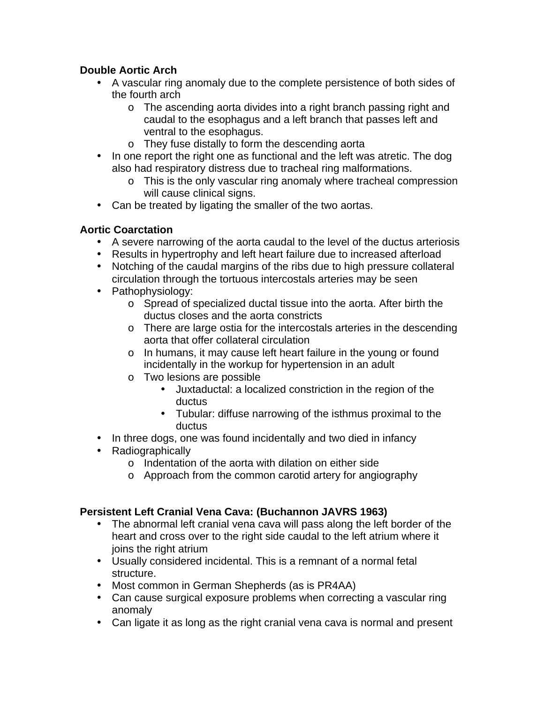### **Double Aortic Arch**

- A vascular ring anomaly due to the complete persistence of both sides of the fourth arch
	- o The ascending aorta divides into a right branch passing right and caudal to the esophagus and a left branch that passes left and ventral to the esophagus.
	- o They fuse distally to form the descending aorta
- In one report the right one as functional and the left was atretic. The dog also had respiratory distress due to tracheal ring malformations.
	- o This is the only vascular ring anomaly where tracheal compression will cause clinical signs.
- Can be treated by ligating the smaller of the two aortas.

### **Aortic Coarctation**

- A severe narrowing of the aorta caudal to the level of the ductus arteriosis
- Results in hypertrophy and left heart failure due to increased afterload
- Notching of the caudal margins of the ribs due to high pressure collateral circulation through the tortuous intercostals arteries may be seen
- Pathophysiology:
	- o Spread of specialized ductal tissue into the aorta. After birth the ductus closes and the aorta constricts
	- o There are large ostia for the intercostals arteries in the descending aorta that offer collateral circulation
	- o In humans, it may cause left heart failure in the young or found incidentally in the workup for hypertension in an adult
	- o Two lesions are possible
		- Juxtaductal: a localized constriction in the region of the ductus
		- Tubular: diffuse narrowing of the isthmus proximal to the ductus
- In three dogs, one was found incidentally and two died in infancy
- Radiographically
	- o Indentation of the aorta with dilation on either side
	- o Approach from the common carotid artery for angiography

### **Persistent Left Cranial Vena Cava: (Buchannon JAVRS 1963)**

- The abnormal left cranial vena cava will pass along the left border of the heart and cross over to the right side caudal to the left atrium where it joins the right atrium
- Usually considered incidental. This is a remnant of a normal fetal structure.
- Most common in German Shepherds (as is PR4AA)
- Can cause surgical exposure problems when correcting a vascular ring anomaly
- Can ligate it as long as the right cranial vena cava is normal and present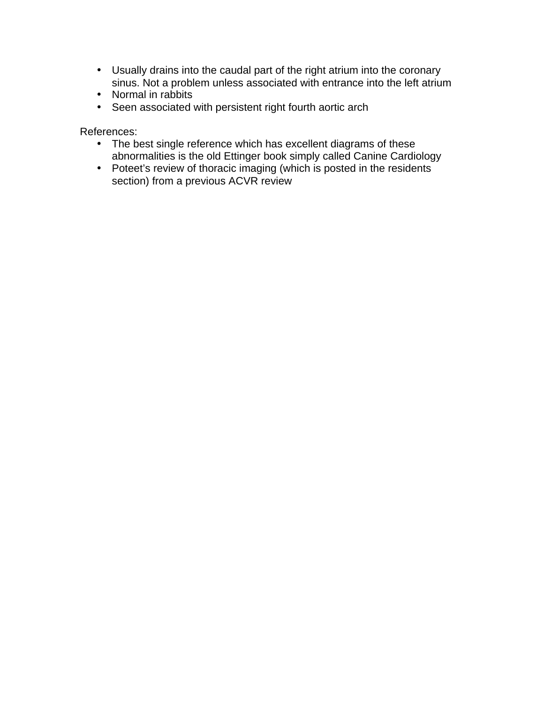- Usually drains into the caudal part of the right atrium into the coronary sinus. Not a problem unless associated with entrance into the left atrium
- Normal in rabbits
- Seen associated with persistent right fourth aortic arch

References:

- The best single reference which has excellent diagrams of these abnormalities is the old Ettinger book simply called Canine Cardiology
- Poteet's review of thoracic imaging (which is posted in the residents section) from a previous ACVR review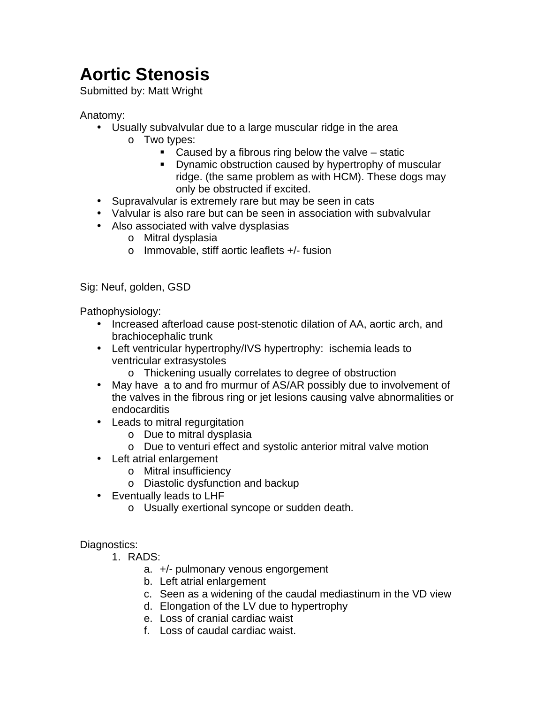# <span id="page-14-0"></span>**Aortic Stenosis**

Submitted by: Matt Wright

### Anatomy:

- Usually subvalvular due to a large muscular ridge in the area
	- o Two types:
		- $\blacksquare$  Caused by a fibrous ring below the valve static
		- ! Dynamic obstruction caused by hypertrophy of muscular ridge. (the same problem as with HCM). These dogs may only be obstructed if excited.
- Supravalvular is extremely rare but may be seen in cats
- Valvular is also rare but can be seen in association with subvalvular
- Also associated with valve dysplasias
	- o Mitral dysplasia
	- o Immovable, stiff aortic leaflets +/- fusion

Sig: Neuf, golden, GSD

Pathophysiology:

- Increased afterload cause post-stenotic dilation of AA, aortic arch, and brachiocephalic trunk
- Left ventricular hypertrophy/IVS hypertrophy: ischemia leads to ventricular extrasystoles
	- o Thickening usually correlates to degree of obstruction
- May have a to and fro murmur of AS/AR possibly due to involvement of the valves in the fibrous ring or jet lesions causing valve abnormalities or endocarditis
- Leads to mitral regurgitation
	- o Due to mitral dysplasia
	- o Due to venturi effect and systolic anterior mitral valve motion
- Left atrial enlargement
	- o Mitral insufficiency
	- o Diastolic dysfunction and backup
- Eventually leads to LHF
	- o Usually exertional syncope or sudden death.

### Diagnostics:

- 1. RADS:
	- a. +/- pulmonary venous engorgement
	- b. Left atrial enlargement
	- c. Seen as a widening of the caudal mediastinum in the VD view
	- d. Elongation of the LV due to hypertrophy
	- e. Loss of cranial cardiac waist
	- f. Loss of caudal cardiac waist.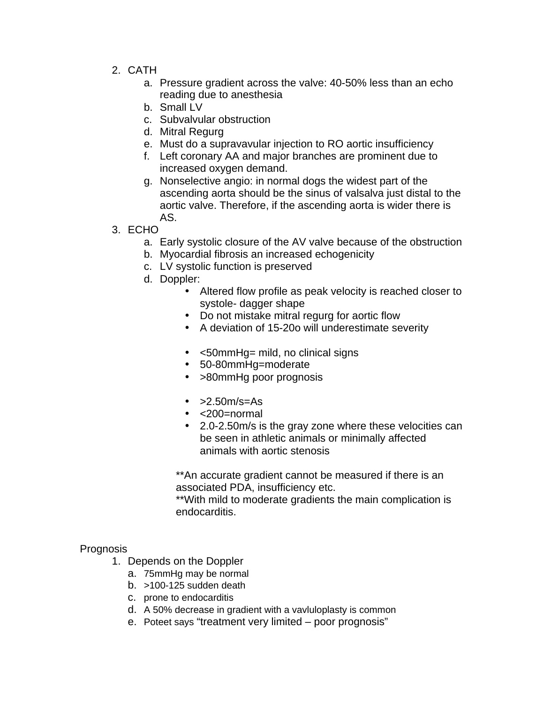- 2. CATH
	- a. Pressure gradient across the valve: 40-50% less than an echo reading due to anesthesia
	- b. Small LV
	- c. Subvalvular obstruction
	- d. Mitral Regurg
	- e. Must do a supravavular injection to RO aortic insufficiency
	- f. Left coronary AA and major branches are prominent due to increased oxygen demand.
	- g. Nonselective angio: in normal dogs the widest part of the ascending aorta should be the sinus of valsalva just distal to the aortic valve. Therefore, if the ascending aorta is wider there is AS.
- 3. ECHO
	- a. Early systolic closure of the AV valve because of the obstruction
	- b. Myocardial fibrosis an increased echogenicity
	- c. LV systolic function is preserved
	- d. Doppler:
		- Altered flow profile as peak velocity is reached closer to systole- dagger shape
			- Do not mistake mitral regurg for aortic flow
			- A deviation of 15-20o will underestimate severity
			- <50mmHg= mild, no clinical signs
			- 50-80mmHg=moderate
			- >80mmHg poor prognosis
			- $\cdot$  >2.50m/s=As
			- <200=normal
			- 2.0-2.50m/s is the gray zone where these velocities can be seen in athletic animals or minimally affected animals with aortic stenosis

\*\*An accurate gradient cannot be measured if there is an associated PDA, insufficiency etc.

\*\*With mild to moderate gradients the main complication is endocarditis.

### **Prognosis**

- 1. Depends on the Doppler
	- a. 75mmHg may be normal
	- b.  $>100-125$  sudden death
	- c. prone to endocarditis
	- d. A 50% decrease in gradient with a vavluloplasty is common
	- e. Poteet says "treatment very limited poor prognosis"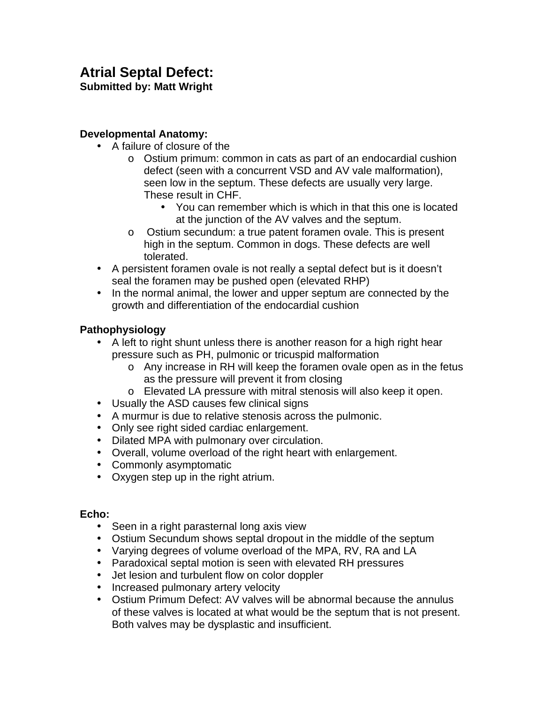# <span id="page-16-0"></span>**Atrial Septal Defect:**

### **Submitted by: Matt Wright**

### **Developmental Anatomy:**

- A failure of closure of the
	- o Ostium primum: common in cats as part of an endocardial cushion defect (seen with a concurrent VSD and AV vale malformation), seen low in the septum. These defects are usually very large. These result in CHF.
		- You can remember which is which in that this one is located at the junction of the AV valves and the septum.
	- o Ostium secundum: a true patent foramen ovale. This is present high in the septum. Common in dogs. These defects are well tolerated.
- A persistent foramen ovale is not really a septal defect but is it doesn't seal the foramen may be pushed open (elevated RHP)
- In the normal animal, the lower and upper septum are connected by the growth and differentiation of the endocardial cushion

### **Pathophysiology**

- A left to right shunt unless there is another reason for a high right hear pressure such as PH, pulmonic or tricuspid malformation
	- o Any increase in RH will keep the foramen ovale open as in the fetus as the pressure will prevent it from closing
	- o Elevated LA pressure with mitral stenosis will also keep it open.
- Usually the ASD causes few clinical signs
- A murmur is due to relative stenosis across the pulmonic.
- Only see right sided cardiac enlargement.
- Dilated MPA with pulmonary over circulation.
- Overall, volume overload of the right heart with enlargement.
- Commonly asymptomatic
- Oxygen step up in the right atrium.

### **Echo:**

- Seen in a right parasternal long axis view
- Ostium Secundum shows septal dropout in the middle of the septum
- Varying degrees of volume overload of the MPA, RV, RA and LA
- Paradoxical septal motion is seen with elevated RH pressures
- Jet lesion and turbulent flow on color doppler
- Increased pulmonary artery velocity
- Ostium Primum Defect: AV valves will be abnormal because the annulus of these valves is located at what would be the septum that is not present. Both valves may be dysplastic and insufficient.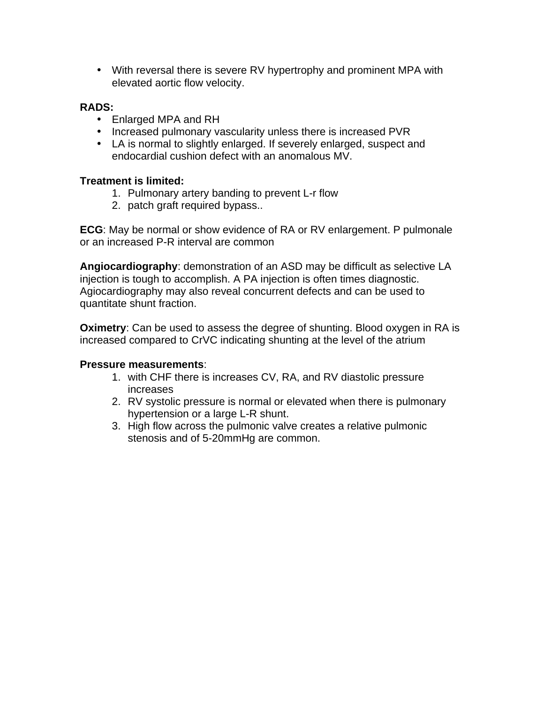• With reversal there is severe RV hypertrophy and prominent MPA with elevated aortic flow velocity.

### **RADS:**

- Enlarged MPA and RH
- Increased pulmonary vascularity unless there is increased PVR
- LA is normal to slightly enlarged. If severely enlarged, suspect and endocardial cushion defect with an anomalous MV.

### **Treatment is limited:**

- 1. Pulmonary artery banding to prevent L-r flow
- 2. patch graft required bypass..

**ECG**: May be normal or show evidence of RA or RV enlargement. P pulmonale or an increased P-R interval are common

**Angiocardiography**: demonstration of an ASD may be difficult as selective LA injection is tough to accomplish. A PA injection is often times diagnostic. Agiocardiography may also reveal concurrent defects and can be used to quantitate shunt fraction.

**Oximetry:** Can be used to assess the degree of shunting. Blood oxygen in RA is increased compared to CrVC indicating shunting at the level of the atrium

### **Pressure measurements**:

- 1. with CHF there is increases CV, RA, and RV diastolic pressure increases
- 2. RV systolic pressure is normal or elevated when there is pulmonary hypertension or a large L-R shunt.
- 3. High flow across the pulmonic valve creates a relative pulmonic stenosis and of 5-20mmHg are common.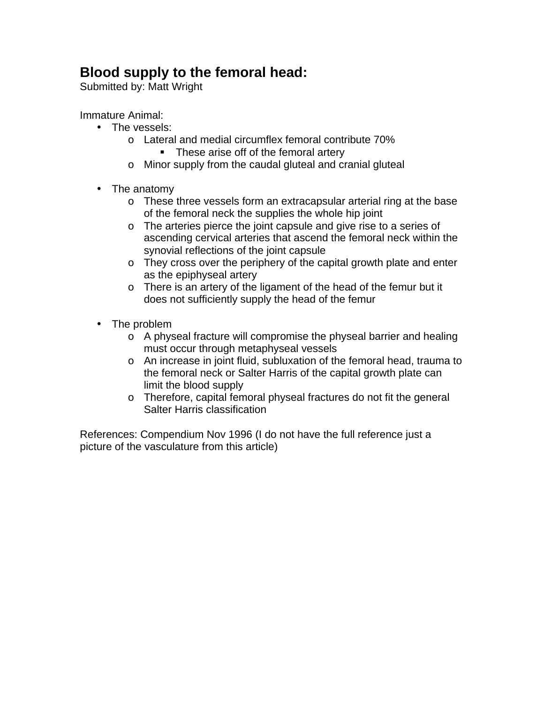### <span id="page-18-0"></span>**Blood supply to the femoral head:**

Submitted by: Matt Wright

Immature Animal:

- The vessels:
	- o Lateral and medial circumflex femoral contribute 70%
		- **These arise off of the femoral artery**
	- o Minor supply from the caudal gluteal and cranial gluteal
- The anatomy
	- o These three vessels form an extracapsular arterial ring at the base of the femoral neck the supplies the whole hip joint
	- o The arteries pierce the joint capsule and give rise to a series of ascending cervical arteries that ascend the femoral neck within the synovial reflections of the joint capsule
	- o They cross over the periphery of the capital growth plate and enter as the epiphyseal artery
	- o There is an artery of the ligament of the head of the femur but it does not sufficiently supply the head of the femur
- The problem
	- o A physeal fracture will compromise the physeal barrier and healing must occur through metaphyseal vessels
	- o An increase in joint fluid, subluxation of the femoral head, trauma to the femoral neck or Salter Harris of the capital growth plate can limit the blood supply
	- o Therefore, capital femoral physeal fractures do not fit the general Salter Harris classification

References: Compendium Nov 1996 (I do not have the full reference just a picture of the vasculature from this article)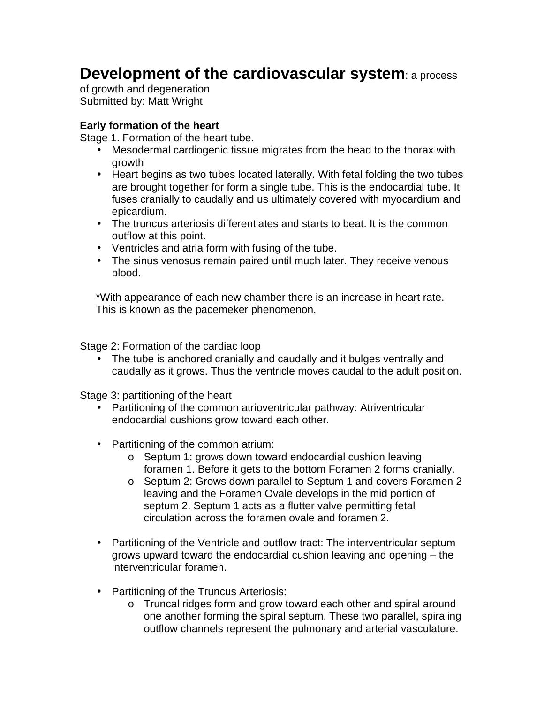### <span id="page-19-0"></span>**Development of the cardiovascular system**: a process

of growth and degeneration Submitted by: Matt Wright

#### **Early formation of the heart**

Stage 1. Formation of the heart tube.

- Mesodermal cardiogenic tissue migrates from the head to the thorax with growth
- Heart begins as two tubes located laterally. With fetal folding the two tubes are brought together for form a single tube. This is the endocardial tube. It fuses cranially to caudally and us ultimately covered with myocardium and epicardium.
- The truncus arteriosis differentiates and starts to beat. It is the common outflow at this point.
- Ventricles and atria form with fusing of the tube.
- The sinus venosus remain paired until much later. They receive venous blood.

\*With appearance of each new chamber there is an increase in heart rate. This is known as the pacemeker phenomenon.

Stage 2: Formation of the cardiac loop

• The tube is anchored cranially and caudally and it bulges ventrally and caudally as it grows. Thus the ventricle moves caudal to the adult position.

Stage 3: partitioning of the heart

- Partitioning of the common atrioventricular pathway: Atriventricular endocardial cushions grow toward each other.
- Partitioning of the common atrium:
	- o Septum 1: grows down toward endocardial cushion leaving foramen 1. Before it gets to the bottom Foramen 2 forms cranially.
	- o Septum 2: Grows down parallel to Septum 1 and covers Foramen 2 leaving and the Foramen Ovale develops in the mid portion of septum 2. Septum 1 acts as a flutter valve permitting fetal circulation across the foramen ovale and foramen 2.
- Partitioning of the Ventricle and outflow tract: The interventricular septum grows upward toward the endocardial cushion leaving and opening – the interventricular foramen.
- Partitioning of the Truncus Arteriosis:
	- o Truncal ridges form and grow toward each other and spiral around one another forming the spiral septum. These two parallel, spiraling outflow channels represent the pulmonary and arterial vasculature.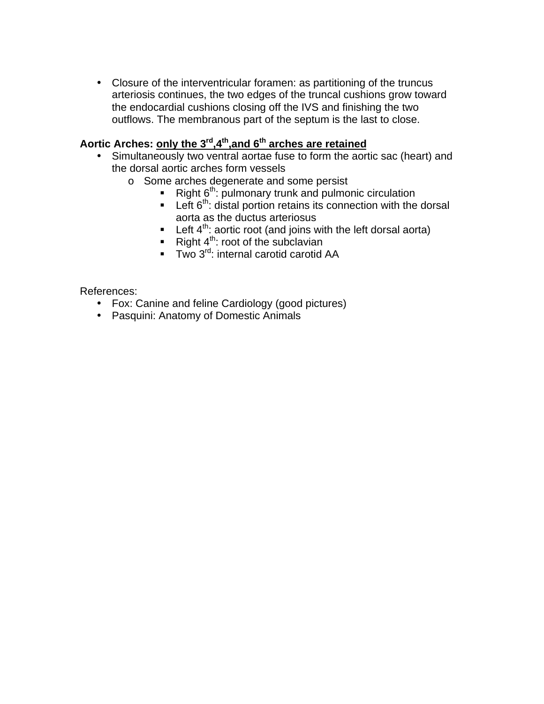• Closure of the interventricular foramen: as partitioning of the truncus arteriosis continues, the two edges of the truncal cushions grow toward the endocardial cushions closing off the IVS and finishing the two outflows. The membranous part of the septum is the last to close.

### Aortic Arches: only the 3<sup>rd</sup>,4<sup>th</sup>,and 6<sup>th</sup> arches are retained

- Simultaneously two ventral aortae fuse to form the aortic sac (heart) and the dorsal aortic arches form vessels
	- o Some arches degenerate and some persist
		- $\blacksquare$  Right 6<sup>th</sup>: pulmonary trunk and pulmonic circulation
		- **Left 6<sup>th</sup>: distal portion retains its connection with the dorsal** aorta as the ductus arteriosus
		- **•** Left  $4^{th}$ : aortic root (and joins with the left dorsal aorta)
		- Right  $4^{th}$ : root of the subclavian
		- $\blacksquare$  Two 3<sup>rd</sup>: internal carotid carotid AA

References:

- Fox: Canine and feline Cardiology (good pictures)
- Pasquini: Anatomy of Domestic Animals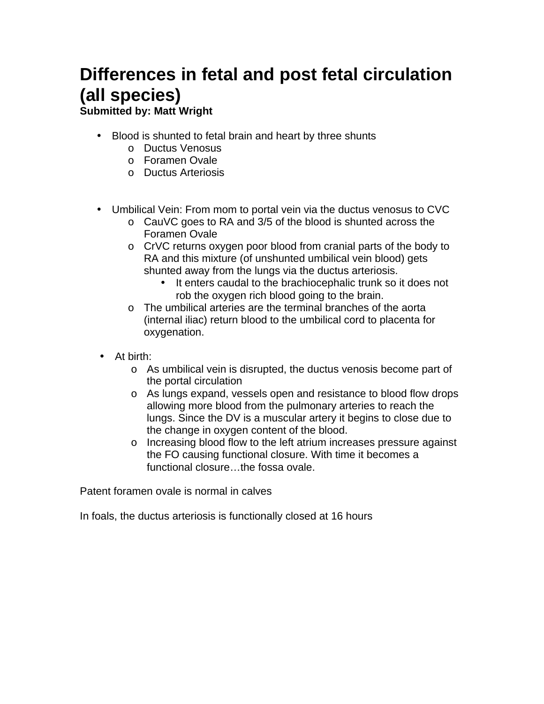# <span id="page-21-0"></span>**Differences in fetal and post fetal circulation (all species)**

**Submitted by: Matt Wright**

- Blood is shunted to fetal brain and heart by three shunts
	- o Ductus Venosus
	- o Foramen Ovale
	- o Ductus Arteriosis
- Umbilical Vein: From mom to portal vein via the ductus venosus to CVC
	- o CauVC goes to RA and 3/5 of the blood is shunted across the Foramen Ovale
	- o CrVC returns oxygen poor blood from cranial parts of the body to RA and this mixture (of unshunted umbilical vein blood) gets shunted away from the lungs via the ductus arteriosis.
		- It enters caudal to the brachiocephalic trunk so it does not rob the oxygen rich blood going to the brain.
	- o The umbilical arteries are the terminal branches of the aorta (internal iliac) return blood to the umbilical cord to placenta for oxygenation.
- At birth:
	- o As umbilical vein is disrupted, the ductus venosis become part of the portal circulation
	- o As lungs expand, vessels open and resistance to blood flow drops allowing more blood from the pulmonary arteries to reach the lungs. Since the DV is a muscular artery it begins to close due to the change in oxygen content of the blood.
	- o Increasing blood flow to the left atrium increases pressure against the FO causing functional closure. With time it becomes a functional closure…the fossa ovale.

Patent foramen ovale is normal in calves

In foals, the ductus arteriosis is functionally closed at 16 hours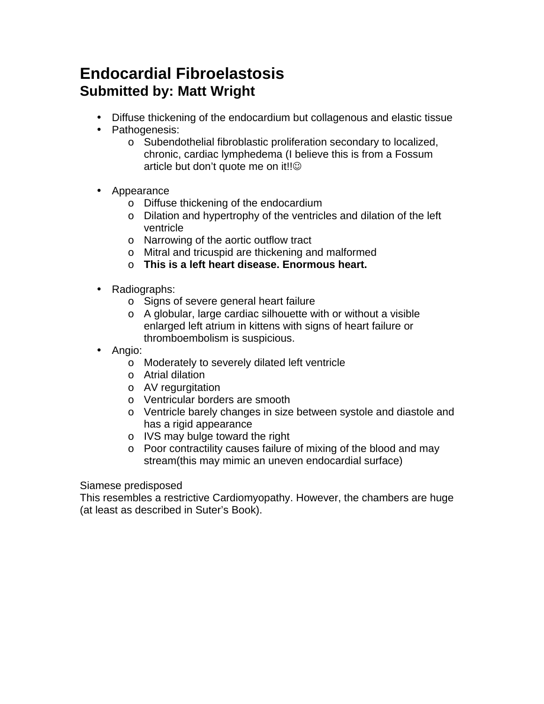### <span id="page-22-0"></span>**Endocardial Fibroelastosis Submitted by: Matt Wright**

- Diffuse thickening of the endocardium but collagenous and elastic tissue
- Pathogenesis:
	- o Subendothelial fibroblastic proliferation secondary to localized, chronic, cardiac lymphedema (I believe this is from a Fossum article but don't quote me on it!!
- Appearance
	- o Diffuse thickening of the endocardium
	- o Dilation and hypertrophy of the ventricles and dilation of the left ventricle
	- o Narrowing of the aortic outflow tract
	- o Mitral and tricuspid are thickening and malformed
	- o **This is a left heart disease. Enormous heart.**
- Radiographs:
	- o Signs of severe general heart failure
	- o A globular, large cardiac silhouette with or without a visible enlarged left atrium in kittens with signs of heart failure or thromboembolism is suspicious.
- Angio:
	- o Moderately to severely dilated left ventricle
	- o Atrial dilation
	- o AV regurgitation
	- o Ventricular borders are smooth
	- o Ventricle barely changes in size between systole and diastole and has a rigid appearance
	- o IVS may bulge toward the right
	- o Poor contractility causes failure of mixing of the blood and may stream(this may mimic an uneven endocardial surface)

Siamese predisposed

This resembles a restrictive Cardiomyopathy. However, the chambers are huge (at least as described in Suter's Book).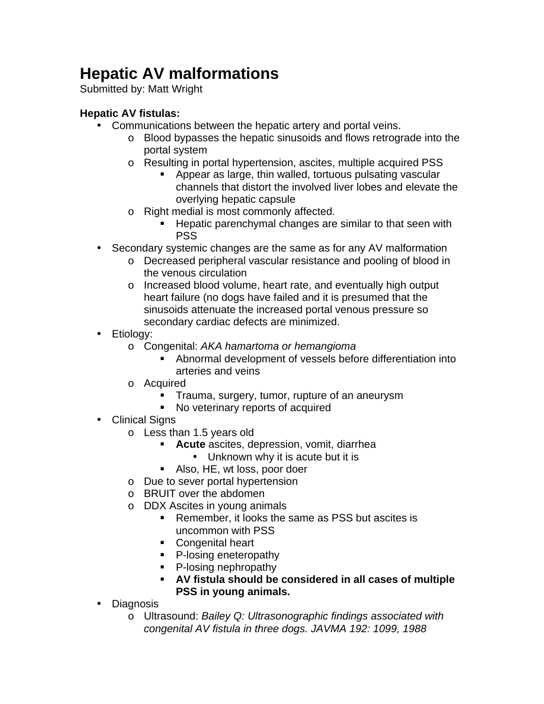# <span id="page-23-0"></span>**Hepatic AV malformations**

Submitted by: Matt Wright

### **Hepatic AV fistulas:**

- Communications between the hepatic artery and portal veins.
	- o Blood bypasses the hepatic sinusoids and flows retrograde into the portal system
	- o Resulting in portal hypertension, ascites, multiple acquired PSS
		- ! Appear as large, thin walled, tortuous pulsating vascular channels that distort the involved liver lobes and elevate the overlying hepatic capsule
	- o Right medial is most commonly affected.
		- ! Hepatic parenchymal changes are similar to that seen with PSS
- Secondary systemic changes are the same as for any AV malformation
	- o Decreased peripheral vascular resistance and pooling of blood in the venous circulation
	- o Increased blood volume, heart rate, and eventually high output heart failure (no dogs have failed and it is presumed that the sinusoids attenuate the increased portal venous pressure so secondary cardiac defects are minimized.
- Etiology:
	- o Congenital: *AKA hamartoma or hemangioma*
		- ! Abnormal development of vessels before differentiation into arteries and veins
	- o Acquired
		- **Trauma, surgery, tumor, rupture of an aneurysm**
		- ! No veterinary reports of acquired
- Clinical Signs
	- o Less than 1.5 years old
		- ! **Acute** ascites, depression, vomit, diarrhea
			- Unknown why it is acute but it is
		- ! Also, HE, wt loss, poor doer
	- o Due to sever portal hypertension
	- o BRUIT over the abdomen
	- o DDX Ascites in young animals
		- **EXECT** Remember, it looks the same as PSS but ascites is uncommon with PSS
		- **Congenital heart**
		- **•** P-losing eneteropathy
		- **•** P-losing nephropathy
		- ! **AV fistula should be considered in all cases of multiple PSS in young animals.**
- Diagnosis
	- o Ultrasound: *Bailey Q: Ultrasonographic findings associated with congenital AV fistula in three dogs. JAVMA 192: 1099, 1988*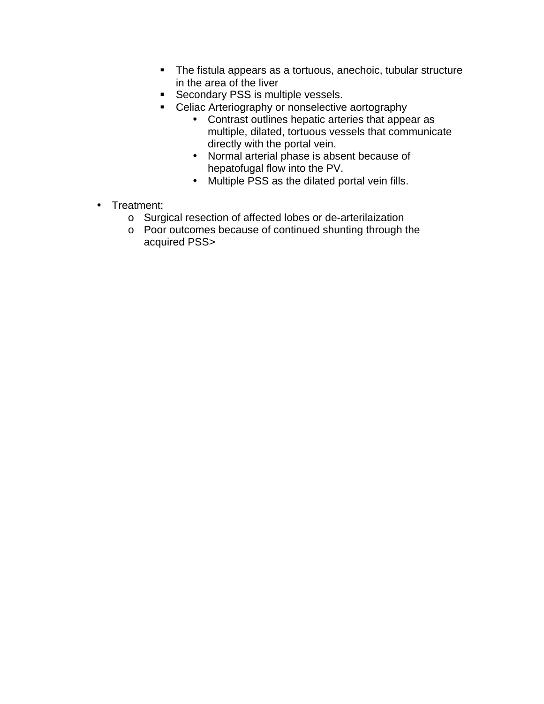- ! The fistula appears as a tortuous, anechoic, tubular structure in the area of the liver
- **EXECONDARY PSS is multiple vessels.**
- **EXEC** Celiac Arteriography or nonselective aortography
	- Contrast outlines hepatic arteries that appear as multiple, dilated, tortuous vessels that communicate directly with the portal vein.
	- Normal arterial phase is absent because of hepatofugal flow into the PV.
	- Multiple PSS as the dilated portal vein fills.
- Treatment:
	- o Surgical resection of affected lobes or de-arterilaization
	- o Poor outcomes because of continued shunting through the acquired PSS>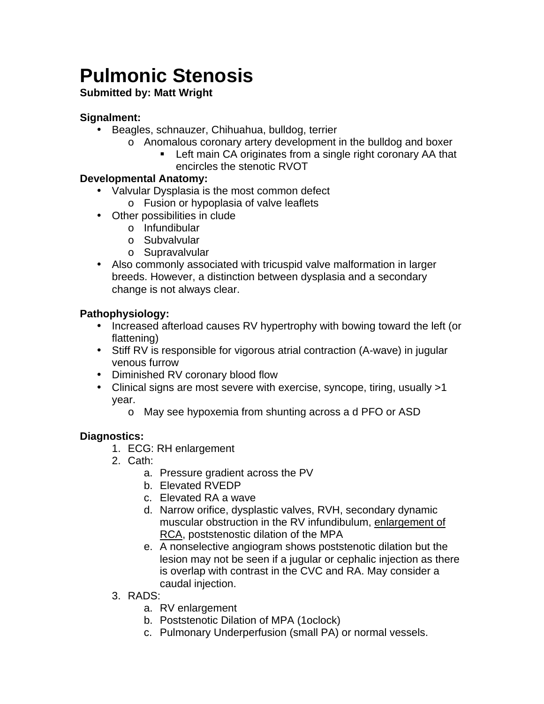# <span id="page-25-0"></span>**Pulmonic Stenosis**

### **Submitted by: Matt Wright**

### **Signalment:**

- Beagles, schnauzer, Chihuahua, bulldog, terrier
	- o Anomalous coronary artery development in the bulldog and boxer
		- **EXECT** Left main CA originates from a single right coronary AA that encircles the stenotic RVOT

### **Developmental Anatomy:**

- Valvular Dysplasia is the most common defect
- o Fusion or hypoplasia of valve leaflets
- Other possibilities in clude
	- o Infundibular
	- o Subvalvular
	- o Supravalvular
- Also commonly associated with tricuspid valve malformation in larger breeds. However, a distinction between dysplasia and a secondary change is not always clear.

### **Pathophysiology:**

- Increased afterload causes RV hypertrophy with bowing toward the left (or flattening)
- Stiff RV is responsible for vigorous atrial contraction (A-wave) in jugular venous furrow
- Diminished RV coronary blood flow
- Clinical signs are most severe with exercise, syncope, tiring, usually >1 year.
	- o May see hypoxemia from shunting across a d PFO or ASD

### **Diagnostics:**

- 1. ECG: RH enlargement
- 2. Cath:
	- a. Pressure gradient across the PV
	- b. Elevated RVEDP
	- c. Elevated RA a wave
	- d. Narrow orifice, dysplastic valves, RVH, secondary dynamic muscular obstruction in the RV infundibulum, enlargement of RCA, poststenostic dilation of the MPA
	- e. A nonselective angiogram shows poststenotic dilation but the lesion may not be seen if a jugular or cephalic injection as there is overlap with contrast in the CVC and RA. May consider a caudal injection.
- 3. RADS:
	- a. RV enlargement
	- b. Poststenotic Dilation of MPA (1oclock)
	- c. Pulmonary Underperfusion (small PA) or normal vessels.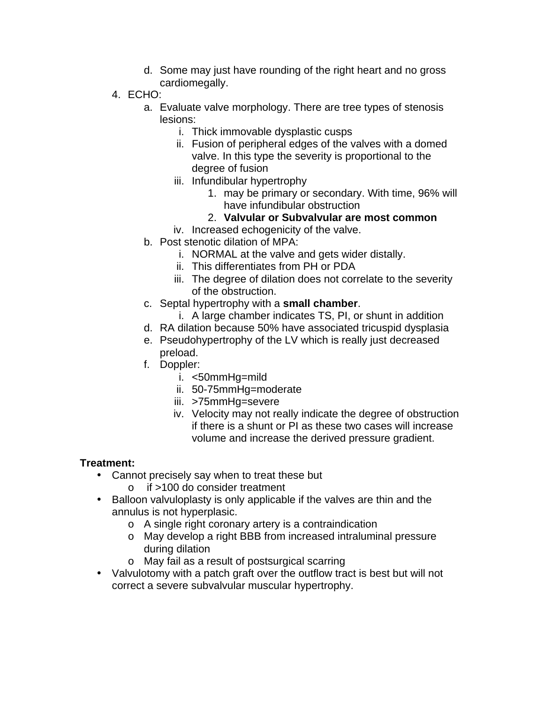- d. Some may just have rounding of the right heart and no gross cardiomegally.
- 4. ECHO:
	- a. Evaluate valve morphology. There are tree types of stenosis lesions:
		- i. Thick immovable dysplastic cusps
		- ii. Fusion of peripheral edges of the valves with a domed valve. In this type the severity is proportional to the degree of fusion
		- iii. Infundibular hypertrophy
			- 1. may be primary or secondary. With time, 96% will have infundibular obstruction
			- 2. **Valvular or Subvalvular are most common**
		- iv. Increased echogenicity of the valve.
	- b. Post stenotic dilation of MPA:
		- i. NORMAL at the valve and gets wider distally.
		- ii. This differentiates from PH or PDA
		- iii. The degree of dilation does not correlate to the severity of the obstruction.
	- c. Septal hypertrophy with a **small chamber**.
		- i. A large chamber indicates TS, PI, or shunt in addition
	- d. RA dilation because 50% have associated tricuspid dysplasia
	- e. Pseudohypertrophy of the LV which is really just decreased preload.
	- f. Doppler:
		- i. <50mmHg=mild
		- ii. 50-75mmHg=moderate
		- iii. >75mmHg=severe
		- iv. Velocity may not really indicate the degree of obstruction if there is a shunt or PI as these two cases will increase volume and increase the derived pressure gradient.

### **Treatment:**

- Cannot precisely say when to treat these but
	- o if >100 do consider treatment
- Balloon valvuloplasty is only applicable if the valves are thin and the annulus is not hyperplasic.
	- o A single right coronary artery is a contraindication
	- o May develop a right BBB from increased intraluminal pressure during dilation
	- o May fail as a result of postsurgical scarring
- Valvulotomy with a patch graft over the outflow tract is best but will not correct a severe subvalvular muscular hypertrophy.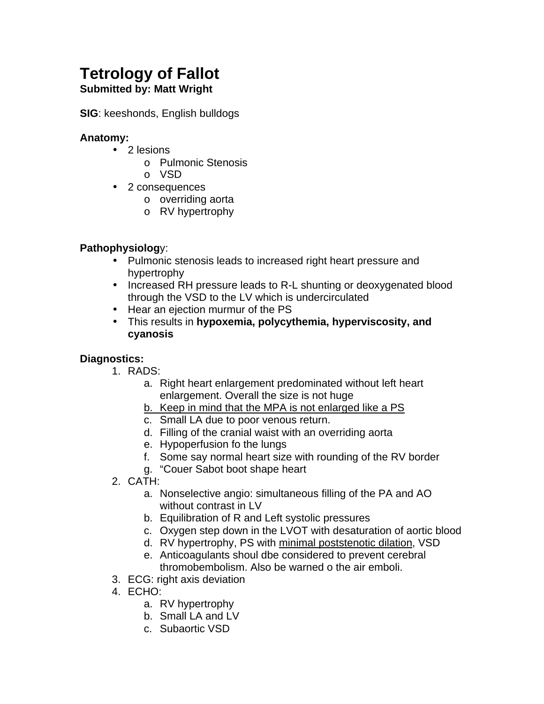# <span id="page-27-0"></span>**Tetrology of Fallot**

### **Submitted by: Matt Wright**

**SIG**: keeshonds, English bulldogs

### **Anatomy:**

- 2 lesions
	- o Pulmonic Stenosis
	- o VSD
- 2 consequences
	- o overriding aorta
	- o RV hypertrophy

### **Pathophysiolog**y:

- Pulmonic stenosis leads to increased right heart pressure and hypertrophy
- Increased RH pressure leads to R-L shunting or deoxygenated blood through the VSD to the LV which is undercirculated
- Hear an ejection murmur of the PS
- This results in **hypoxemia, polycythemia, hyperviscosity, and cyanosis**

### **Diagnostics:**

- 1. RADS:
	- a. Right heart enlargement predominated without left heart enlargement. Overall the size is not huge
	- b. Keep in mind that the MPA is not enlarged like a PS
	- c. Small LA due to poor venous return.
	- d. Filling of the cranial waist with an overriding aorta
	- e. Hypoperfusion fo the lungs
	- f. Some say normal heart size with rounding of the RV border
	- g. "Couer Sabot boot shape heart
- 2. CATH:
	- a. Nonselective angio: simultaneous filling of the PA and AO without contrast in LV
	- b. Equilibration of R and Left systolic pressures
	- c. Oxygen step down in the LVOT with desaturation of aortic blood
	- d. RV hypertrophy, PS with minimal poststenotic dilation, VSD
	- e. Anticoagulants shoul dbe considered to prevent cerebral thromobembolism. Also be warned o the air emboli.
- 3. ECG: right axis deviation
- 4. ECHO:
	- a. RV hypertrophy
	- b. Small LA and LV
	- c. Subaortic VSD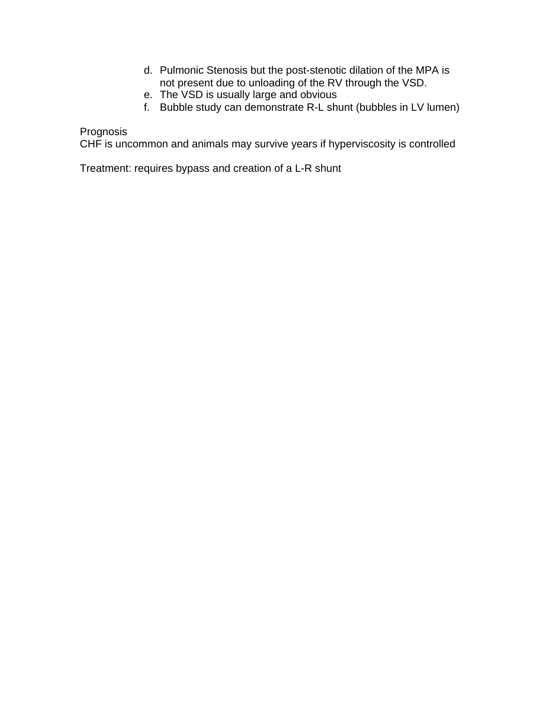- d. Pulmonic Stenosis but the post-stenotic dilation of the MPA is not present due to unloading of the RV through the VSD.
- e. The VSD is usually large and obvious
- f. Bubble study can demonstrate R-L shunt (bubbles in LV lumen)

Prognosis

CHF is uncommon and animals may survive years if hyperviscosity is controlled

Treatment: requires bypass and creation of a L-R shunt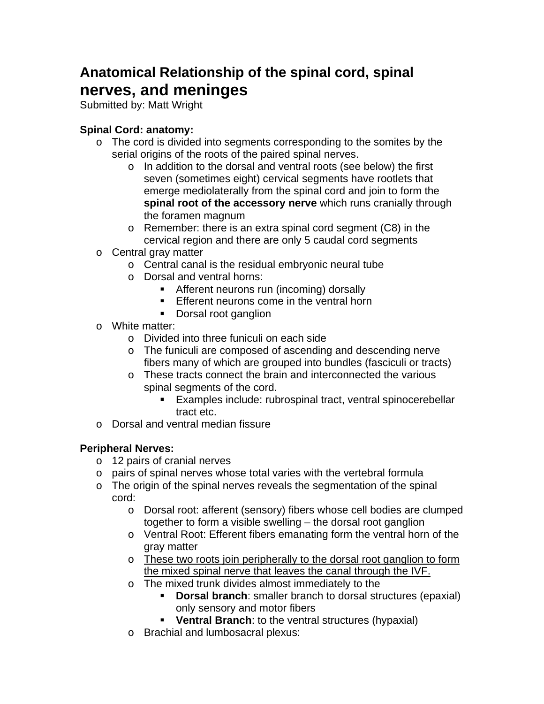### <span id="page-29-0"></span>**Anatomical Relationship of the spinal cord, spinal nerves, and meninges**

Submitted by: Matt Wright

### **Spinal Cord: anatomy:**

- o The cord is divided into segments corresponding to the somites by the serial origins of the roots of the paired spinal nerves.
	- o In addition to the dorsal and ventral roots (see below) the first seven (sometimes eight) cervical segments have rootlets that emerge mediolaterally from the spinal cord and join to form the **spinal root of the accessory nerve** which runs cranially through the foramen magnum
	- o Remember: there is an extra spinal cord segment (C8) in the cervical region and there are only 5 caudal cord segments
- o Central gray matter
	- o Central canal is the residual embryonic neural tube
	- o Dorsal and ventral horns:
		- ! Afferent neurons run (incoming) dorsally
		- **Efferent neurons come in the ventral horn**
		- Dorsal root ganglion
- o White matter:
	- o Divided into three funiculi on each side
	- o The funiculi are composed of ascending and descending nerve fibers many of which are grouped into bundles (fasciculi or tracts)
	- o These tracts connect the brain and interconnected the various spinal segments of the cord.
		- **Examples include: rubrospinal tract, ventral spinocerebellar** tract etc.
- o Dorsal and ventral median fissure

### **Peripheral Nerves:**

- o 12 pairs of cranial nerves
- o pairs of spinal nerves whose total varies with the vertebral formula
- o The origin of the spinal nerves reveals the segmentation of the spinal cord:
	- o Dorsal root: afferent (sensory) fibers whose cell bodies are clumped together to form a visible swelling – the dorsal root ganglion
	- o Ventral Root: Efferent fibers emanating form the ventral horn of the gray matter
	- o These two roots join peripherally to the dorsal root ganglion to form the mixed spinal nerve that leaves the canal through the IVF.
	- o The mixed trunk divides almost immediately to the
		- **Dorsal branch**: smaller branch to dorsal structures (epaxial) only sensory and motor fibers
		- ! **Ventral Branch**: to the ventral structures (hypaxial)
	- o Brachial and lumbosacral plexus: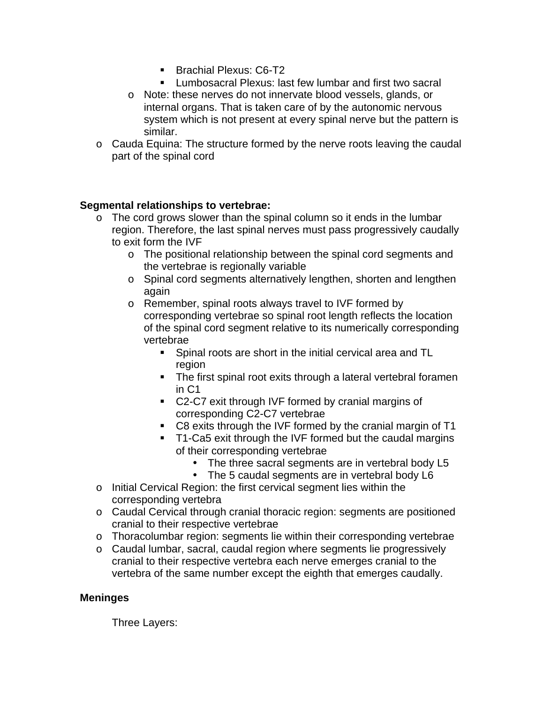- **Brachial Plexus: C6-T2**
- **EXECT** Lumbosacral Plexus: last few lumbar and first two sacral
- o Note: these nerves do not innervate blood vessels, glands, or internal organs. That is taken care of by the autonomic nervous system which is not present at every spinal nerve but the pattern is similar.
- o Cauda Equina: The structure formed by the nerve roots leaving the caudal part of the spinal cord

### **Segmental relationships to vertebrae:**

- o The cord grows slower than the spinal column so it ends in the lumbar region. Therefore, the last spinal nerves must pass progressively caudally to exit form the IVF
	- o The positional relationship between the spinal cord segments and the vertebrae is regionally variable
	- o Spinal cord segments alternatively lengthen, shorten and lengthen again
	- o Remember, spinal roots always travel to IVF formed by corresponding vertebrae so spinal root length reflects the location of the spinal cord segment relative to its numerically corresponding vertebrae
		- ! Spinal roots are short in the initial cervical area and TL region
		- ! The first spinal root exits through a lateral vertebral foramen in C1
		- ! C2-C7 exit through IVF formed by cranial margins of corresponding C2-C7 vertebrae
		- C8 exits through the IVF formed by the cranial margin of T1
		- ! T1-Ca5 exit through the IVF formed but the caudal margins of their corresponding vertebrae
			- The three sacral segments are in vertebral body L5<br>• The 5 caudal segments are in vertebral body L6
			- The 5 caudal segments are in vertebral body L6
- o Initial Cervical Region: the first cervical segment lies within the corresponding vertebra
- o Caudal Cervical through cranial thoracic region: segments are positioned cranial to their respective vertebrae
- o Thoracolumbar region: segments lie within their corresponding vertebrae
- o Caudal lumbar, sacral, caudal region where segments lie progressively cranial to their respective vertebra each nerve emerges cranial to the vertebra of the same number except the eighth that emerges caudally.

### **Meninges**

Three Layers: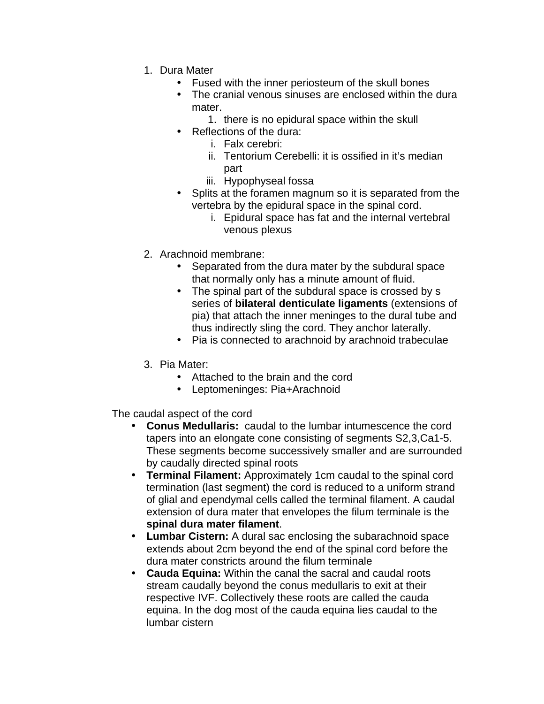- 1. Dura Mater
	- Fused with the inner periosteum of the skull bones
	- The cranial venous sinuses are enclosed within the dura mater.
		- 1. there is no epidural space within the skull
	- Reflections of the dura:
		- i. Falx cerebri:
		- ii. Tentorium Cerebelli: it is ossified in it's median part
		- iii. Hypophyseal fossa
	- Splits at the foramen magnum so it is separated from the vertebra by the epidural space in the spinal cord.
		- i. Epidural space has fat and the internal vertebral venous plexus
- 2. Arachnoid membrane:
	- Separated from the dura mater by the subdural space that normally only has a minute amount of fluid.
	- The spinal part of the subdural space is crossed by s series of **bilateral denticulate ligaments** (extensions of pia) that attach the inner meninges to the dural tube and thus indirectly sling the cord. They anchor laterally.
	- Pia is connected to arachnoid by arachnoid trabeculae
- 3. Pia Mater:
	- Attached to the brain and the cord
	- Leptomeninges: Pia+Arachnoid

The caudal aspect of the cord

- **Conus Medullaris:** caudal to the lumbar intumescence the cord tapers into an elongate cone consisting of segments S2,3,Ca1-5. These segments become successively smaller and are surrounded by caudally directed spinal roots
- **Terminal Filament:** Approximately 1cm caudal to the spinal cord termination (last segment) the cord is reduced to a uniform strand of glial and ependymal cells called the terminal filament. A caudal extension of dura mater that envelopes the filum terminale is the **spinal dura mater filament**.
- **Lumbar Cistern:** A dural sac enclosing the subarachnoid space extends about 2cm beyond the end of the spinal cord before the dura mater constricts around the filum terminale
- **Cauda Equina:** Within the canal the sacral and caudal roots stream caudally beyond the conus medullaris to exit at their respective IVF. Collectively these roots are called the cauda equina. In the dog most of the cauda equina lies caudal to the lumbar cistern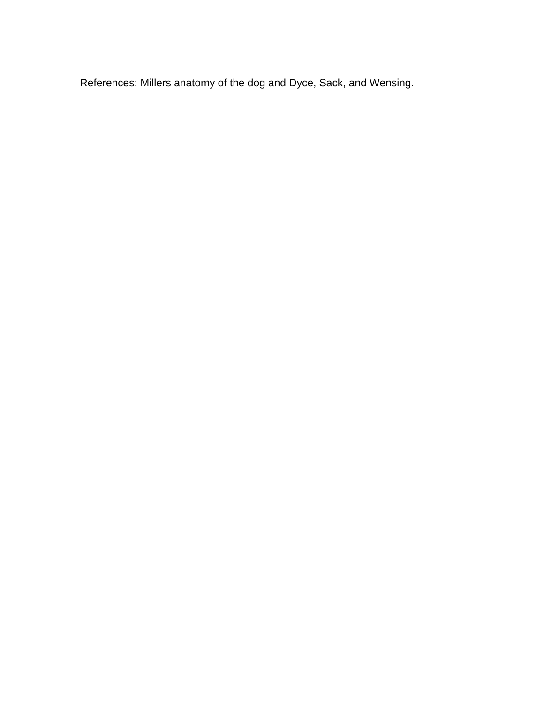References: Millers anatomy of the dog and Dyce, Sack, and Wensing.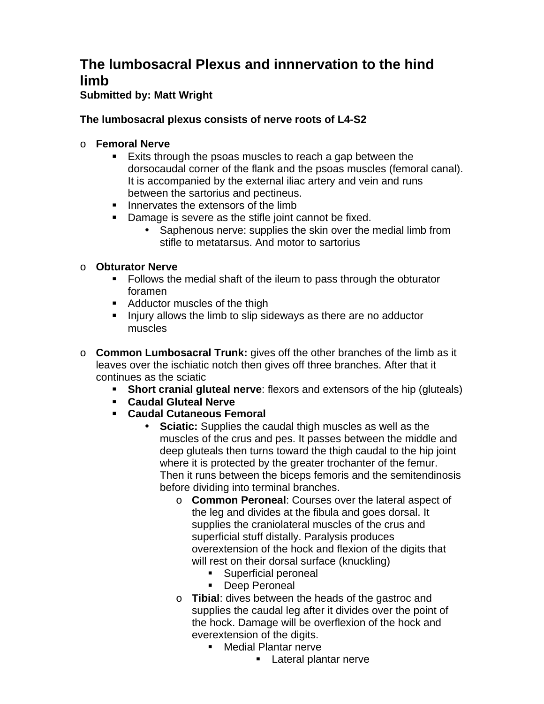### <span id="page-33-0"></span>**The lumbosacral Plexus and innnervation to the hind limb**

### **Submitted by: Matt Wright**

### **The lumbosacral plexus consists of nerve roots of L4-S2**

### o **Femoral Nerve**

- **Exits through the psoas muscles to reach a gap between the** dorsocaudal corner of the flank and the psoas muscles (femoral canal). It is accompanied by the external iliac artery and vein and runs between the sartorius and pectineus.
- **If** Innervates the extensors of the limb
- **Damage is severe as the stifle joint cannot be fixed.** 
	- Saphenous nerve: supplies the skin over the medial limb from stifle to metatarsus. And motor to sartorius

### o **Obturator Nerve**

- ! Follows the medial shaft of the ileum to pass through the obturator foramen
- ! Adductor muscles of the thigh
- ! Injury allows the limb to slip sideways as there are no adductor muscles
- o **Common Lumbosacral Trunk:** gives off the other branches of the limb as it leaves over the ischiatic notch then gives off three branches. After that it continues as the sciatic
	- **Short cranial gluteal nerve**: flexors and extensors of the hip (gluteals)
	- ! **Caudal Gluteal Nerve**
	- ! **Caudal Cutaneous Femoral**
		- **Sciatic:** Supplies the caudal thigh muscles as well as the muscles of the crus and pes. It passes between the middle and deep gluteals then turns toward the thigh caudal to the hip joint where it is protected by the greater trochanter of the femur. Then it runs between the biceps femoris and the semitendinosis before dividing into terminal branches.
			- o **Common Peroneal**: Courses over the lateral aspect of the leg and divides at the fibula and goes dorsal. It supplies the craniolateral muscles of the crus and superficial stuff distally. Paralysis produces overextension of the hock and flexion of the digits that will rest on their dorsal surface (knuckling)
				- **EXECUTE:** Superficial peroneal
				- **Deep Peroneal**
			- o **Tibial**: dives between the heads of the gastroc and supplies the caudal leg after it divides over the point of the hock. Damage will be overflexion of the hock and everextension of the digits.
				- ! Medial Plantar nerve
					- **E** Lateral plantar nerve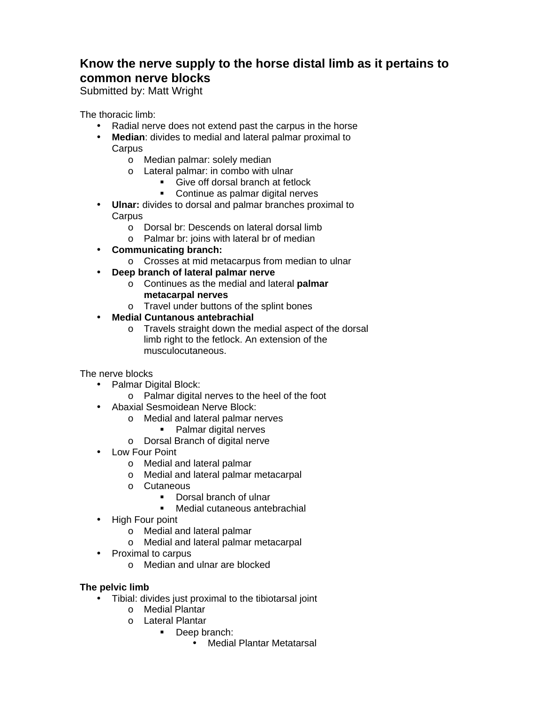### <span id="page-34-0"></span>**Know the nerve supply to the horse distal limb as it pertains to common nerve blocks**

Submitted by: Matt Wright

The thoracic limb:

- Radial nerve does not extend past the carpus in the horse
- **Median**: divides to medial and lateral palmar proximal to **Carpus** 
	- o Median palmar: solely median
	- o Lateral palmar: in combo with ulnar
		- **EXECUTE:** Give off dorsal branch at fetlock
		- ! Continue as palmar digital nerves
- **Ulnar:** divides to dorsal and palmar branches proximal to **Carpus** 
	- o Dorsal br: Descends on lateral dorsal limb
	- o Palmar br: joins with lateral br of median
- **Communicating branch:**
	- o Crosses at mid metacarpus from median to ulnar
- **Deep branch of lateral palmar nerve**
	- o Continues as the medial and lateral **palmar metacarpal nerves**
	- o Travel under buttons of the splint bones
- **Medial Cuntanous antebrachial**
	- o Travels straight down the medial aspect of the dorsal limb right to the fetlock. An extension of the musculocutaneous.

The nerve blocks

- Palmar Digital Block:
	- o Palmar digital nerves to the heel of the foot
- Abaxial Sesmoidean Nerve Block:
	- o Medial and lateral palmar nerves
		- **•** Palmar digital nerves
	- o Dorsal Branch of digital nerve
- Low Four Point
	- o Medial and lateral palmar
	- o Medial and lateral palmar metacarpal
	- o Cutaneous
		- **•** Dorsal branch of ulnar
		- ! Medial cutaneous antebrachial
- High Four point
	- o Medial and lateral palmar
	- o Medial and lateral palmar metacarpal
- Proximal to carpus
	- o Median and ulnar are blocked

#### **The pelvic limb**

- Tibial: divides just proximal to the tibiotarsal joint
	- o Medial Plantar
	- o Lateral Plantar
		- ! Deep branch:
			- Medial Plantar Metatarsal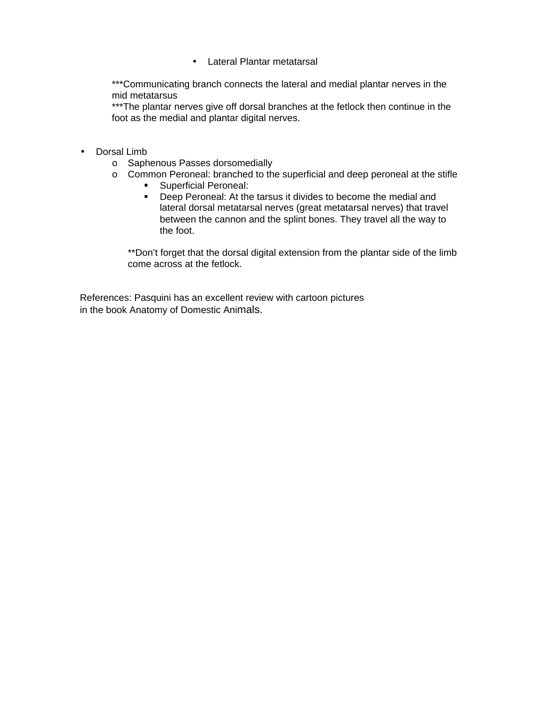• Lateral Plantar metatarsal

\*\*\*Communicating branch connects the lateral and medial plantar nerves in the mid metatarsus

\*\*\*The plantar nerves give off dorsal branches at the fetlock then continue in the foot as the medial and plantar digital nerves.

- Dorsal Limb
	- o Saphenous Passes dorsomedially
	- o Common Peroneal: branched to the superficial and deep peroneal at the stifle
		- ! Superficial Peroneal:
		- ! Deep Peroneal: At the tarsus it divides to become the medial and lateral dorsal metatarsal nerves (great metatarsal nerves) that travel between the cannon and the splint bones. They travel all the way to the foot.

\*\*Don't forget that the dorsal digital extension from the plantar side of the limb come across at the fetlock.

References: Pasquini has an excellent review with cartoon pictures in the book Anatomy of Domestic Animals.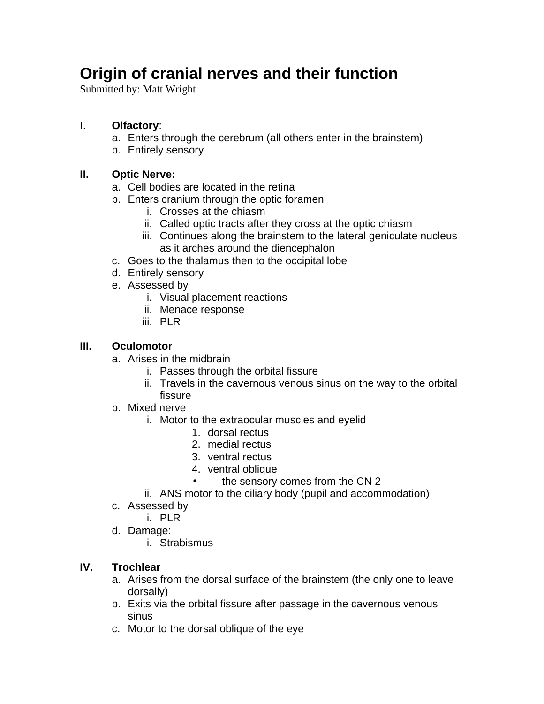## <span id="page-36-0"></span>**Origin of cranial nerves and their function**

Submitted by: Matt Wright

### I. **Olfactory**:

- a. Enters through the cerebrum (all others enter in the brainstem)
- b. Entirely sensory

### **II. Optic Nerve:**

- a. Cell bodies are located in the retina
- b. Enters cranium through the optic foramen
	- i. Crosses at the chiasm
	- ii. Called optic tracts after they cross at the optic chiasm
	- iii. Continues along the brainstem to the lateral geniculate nucleus as it arches around the diencephalon
- c. Goes to the thalamus then to the occipital lobe
- d. Entirely sensory
- e. Assessed by
	- i. Visual placement reactions
	- ii. Menace response
	- iii. PLR

### **III. Oculomotor**

- a. Arises in the midbrain
	- i. Passes through the orbital fissure
	- ii. Travels in the cavernous venous sinus on the way to the orbital fissure
- b. Mixed nerve
	- i. Motor to the extraocular muscles and eyelid
		- 1. dorsal rectus
		- 2. medial rectus
		- 3. ventral rectus
		- 4. ventral oblique
		- ----the sensory comes from the CN 2-----
	- ii. ANS motor to the ciliary body (pupil and accommodation)
- c. Assessed by
	- i. PLR
- d. Damage:
	- i. Strabismus

### **IV. Trochlear**

- a. Arises from the dorsal surface of the brainstem (the only one to leave dorsally)
- b. Exits via the orbital fissure after passage in the cavernous venous sinus
- c. Motor to the dorsal oblique of the eye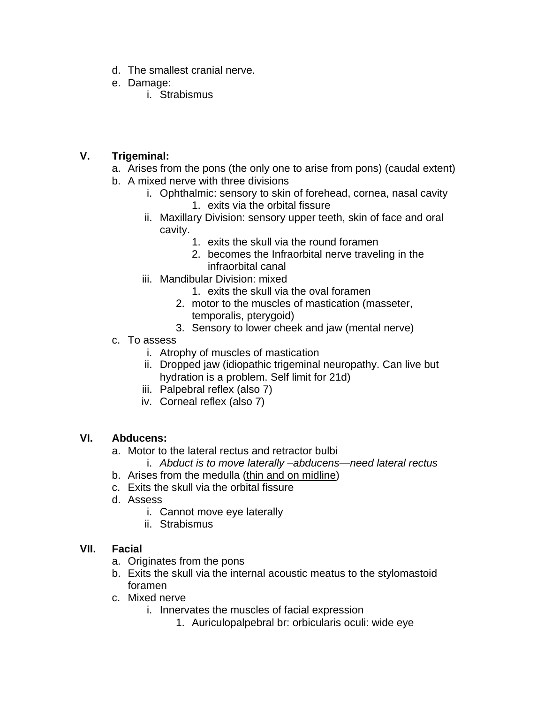- d. The smallest cranial nerve.
- e. Damage:
	- i. Strabismus

### **V. Trigeminal:**

- a. Arises from the pons (the only one to arise from pons) (caudal extent)
- b. A mixed nerve with three divisions
	- i. Ophthalmic: sensory to skin of forehead, cornea, nasal cavity 1. exits via the orbital fissure
	- ii. Maxillary Division: sensory upper teeth, skin of face and oral cavity.
		- 1. exits the skull via the round foramen
		- 2. becomes the Infraorbital nerve traveling in the infraorbital canal
	- iii. Mandibular Division: mixed
		- 1. exits the skull via the oval foramen
		- 2. motor to the muscles of mastication (masseter, temporalis, pterygoid)
		- 3. Sensory to lower cheek and jaw (mental nerve)
- c. To assess
	- i. Atrophy of muscles of mastication
	- ii. Dropped jaw (idiopathic trigeminal neuropathy. Can live but hydration is a problem. Self limit for 21d)
	- iii. Palpebral reflex (also 7)
	- iv. Corneal reflex (also 7)

### **VI. Abducens:**

- a. Motor to the lateral rectus and retractor bulbi
	- i. *Abduct is to move laterally –abducens—need lateral rectus*
- b. Arises from the medulla (thin and on midline)
- c. Exits the skull via the orbital fissure
- d. Assess
	- i. Cannot move eye laterally
	- ii. Strabismus

### **VII. Facial**

- a. Originates from the pons
- b. Exits the skull via the internal acoustic meatus to the stylomastoid foramen
- c. Mixed nerve
	- i. Innervates the muscles of facial expression
		- 1. Auriculopalpebral br: orbicularis oculi: wide eye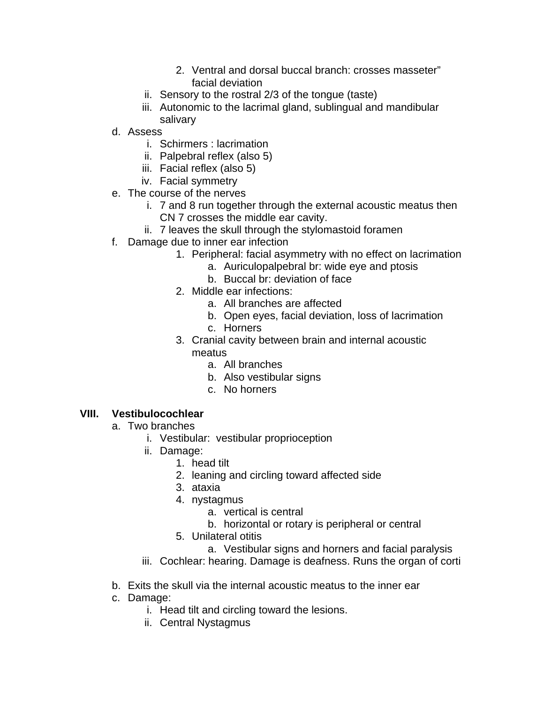- 2. Ventral and dorsal buccal branch: crosses masseter" facial deviation
- ii. Sensory to the rostral 2/3 of the tongue (taste)
- iii. Autonomic to the lacrimal gland, sublingual and mandibular salivary
- d. Assess
	- i. Schirmers : lacrimation
	- ii. Palpebral reflex (also 5)
	- iii. Facial reflex (also 5)
	- iv. Facial symmetry
- e. The course of the nerves
	- i. 7 and 8 run together through the external acoustic meatus then CN 7 crosses the middle ear cavity.
	- ii. 7 leaves the skull through the stylomastoid foramen
- f. Damage due to inner ear infection
	- 1. Peripheral: facial asymmetry with no effect on lacrimation
		- a. Auriculopalpebral br: wide eye and ptosis
		- b. Buccal br: deviation of face
	- 2. Middle ear infections:
		- a. All branches are affected
		- b. Open eyes, facial deviation, loss of lacrimation
		- c. Horners
	- 3. Cranial cavity between brain and internal acoustic meatus
		- a. All branches
		- b. Also vestibular signs
		- c. No horners

### **VIII. Vestibulocochlear**

- a. Two branches
	- i. Vestibular: vestibular proprioception
	- ii. Damage:
		- 1. head tilt
		- 2. leaning and circling toward affected side
		- 3. ataxia
		- 4. nystagmus
			- a. vertical is central
			- b. horizontal or rotary is peripheral or central
		- 5. Unilateral otitis
			- a. Vestibular signs and horners and facial paralysis
	- iii. Cochlear: hearing. Damage is deafness. Runs the organ of corti
- b. Exits the skull via the internal acoustic meatus to the inner ear
- c. Damage:
	- i. Head tilt and circling toward the lesions.
	- ii. Central Nystagmus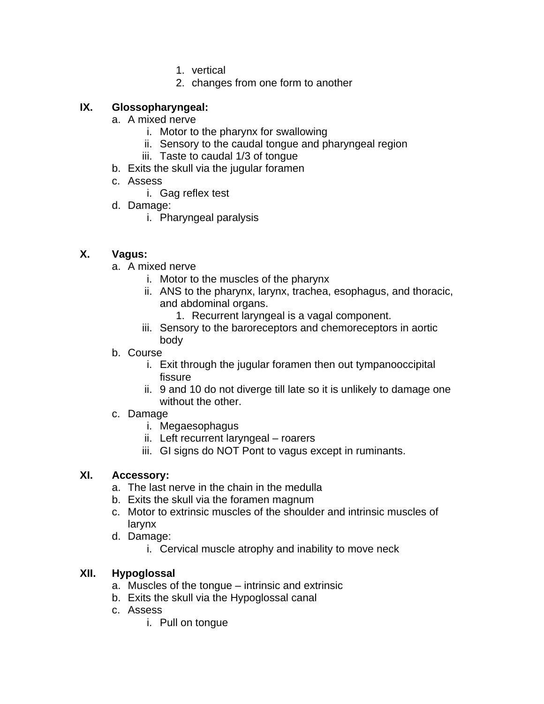- 1. vertical
- 2. changes from one form to another

### **IX. Glossopharyngeal:**

- a. A mixed nerve
	- i. Motor to the pharynx for swallowing
	- ii. Sensory to the caudal tongue and pharyngeal region
	- iii. Taste to caudal 1/3 of tongue
- b. Exits the skull via the jugular foramen
- c. Assess
	- i. Gag reflex test
- d. Damage:
	- i. Pharyngeal paralysis

### **X. Vagus:**

- a. A mixed nerve
	- i. Motor to the muscles of the pharynx
	- ii. ANS to the pharynx, larynx, trachea, esophagus, and thoracic, and abdominal organs.
		- 1. Recurrent laryngeal is a vagal component.
	- iii. Sensory to the baroreceptors and chemoreceptors in aortic body
- b. Course
	- i. Exit through the jugular foramen then out tympanooccipital fissure
	- ii. 9 and 10 do not diverge till late so it is unlikely to damage one without the other.
- c. Damage
	- i. Megaesophagus
	- ii. Left recurrent laryngeal roarers
	- iii. GI signs do NOT Pont to vagus except in ruminants.

### **XI. Accessory:**

- a. The last nerve in the chain in the medulla
- b. Exits the skull via the foramen magnum
- c. Motor to extrinsic muscles of the shoulder and intrinsic muscles of larynx
- d. Damage:
	- i. Cervical muscle atrophy and inability to move neck

### **XII. Hypoglossal**

- a. Muscles of the tongue intrinsic and extrinsic
- b. Exits the skull via the Hypoglossal canal
- c. Assess
	- i. Pull on tongue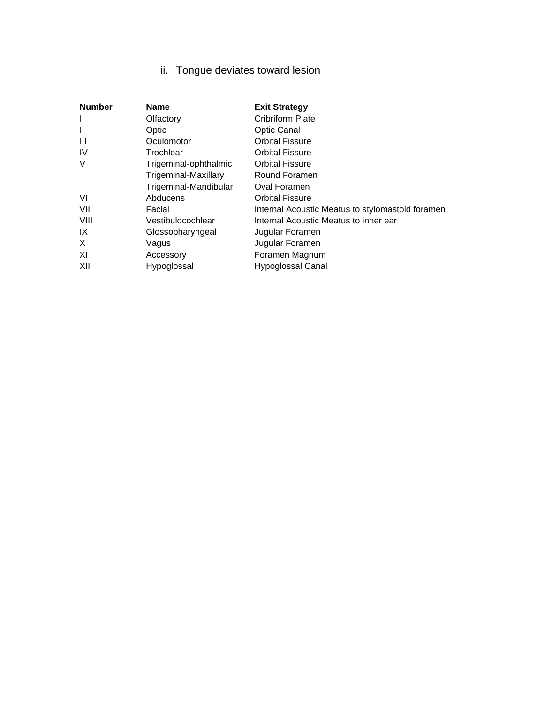### ii. Tongue deviates toward lesion

| <b>Number</b> | <b>Name</b>                 | <b>Exit Strategy</b>                             |
|---------------|-----------------------------|--------------------------------------------------|
| I             | Olfactory                   | <b>Cribriform Plate</b>                          |
| $\mathbf{H}$  | Optic                       | <b>Optic Canal</b>                               |
| Ш             | Oculomotor                  | <b>Orbital Fissure</b>                           |
| <b>IV</b>     | Trochlear                   | <b>Orbital Fissure</b>                           |
| $\vee$        | Trigeminal-ophthalmic       | <b>Orbital Fissure</b>                           |
|               | <b>Trigeminal-Maxillary</b> | Round Foramen                                    |
|               | Trigeminal-Mandibular       | Oval Foramen                                     |
| VI            | Abducens                    | <b>Orbital Fissure</b>                           |
| VII           | Facial                      | Internal Acoustic Meatus to stylomastoid foramen |
| VIII          | Vestibulocochlear           | Internal Acoustic Meatus to inner ear            |
| IX            | Glossopharyngeal            | Jugular Foramen                                  |
| X             | Vagus                       | Jugular Foramen                                  |
| XI            | Accessory                   | Foramen Magnum                                   |
| XII           | Hypoglossal                 | <b>Hypoglossal Canal</b>                         |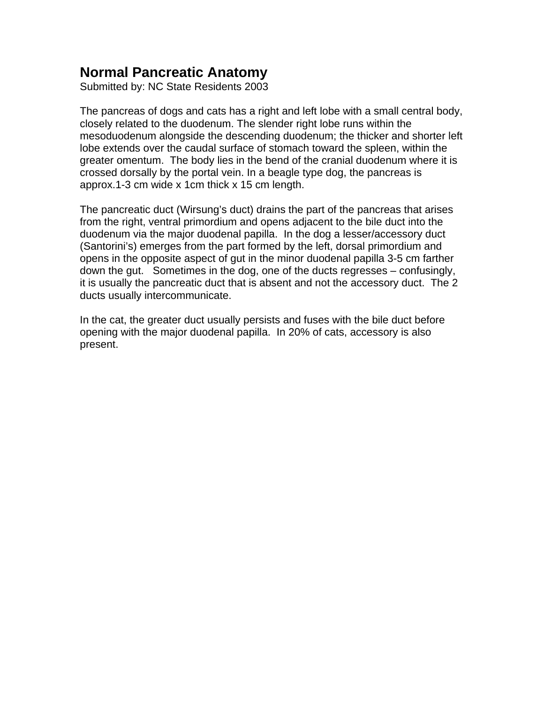### <span id="page-41-0"></span>**Normal Pancreatic Anatomy**

Submitted by: NC State Residents 2003

The pancreas of dogs and cats has a right and left lobe with a small central body, closely related to the duodenum. The slender right lobe runs within the mesoduodenum alongside the descending duodenum; the thicker and shorter left lobe extends over the caudal surface of stomach toward the spleen, within the greater omentum. The body lies in the bend of the cranial duodenum where it is crossed dorsally by the portal vein. In a beagle type dog, the pancreas is approx.1-3 cm wide x 1cm thick x 15 cm length.

The pancreatic duct (Wirsung's duct) drains the part of the pancreas that arises from the right, ventral primordium and opens adjacent to the bile duct into the duodenum via the major duodenal papilla. In the dog a lesser/accessory duct (Santorini's) emerges from the part formed by the left, dorsal primordium and opens in the opposite aspect of gut in the minor duodenal papilla 3-5 cm farther down the gut. Sometimes in the dog, one of the ducts regresses – confusingly, it is usually the pancreatic duct that is absent and not the accessory duct. The 2 ducts usually intercommunicate.

In the cat, the greater duct usually persists and fuses with the bile duct before opening with the major duodenal papilla. In 20% of cats, accessory is also present.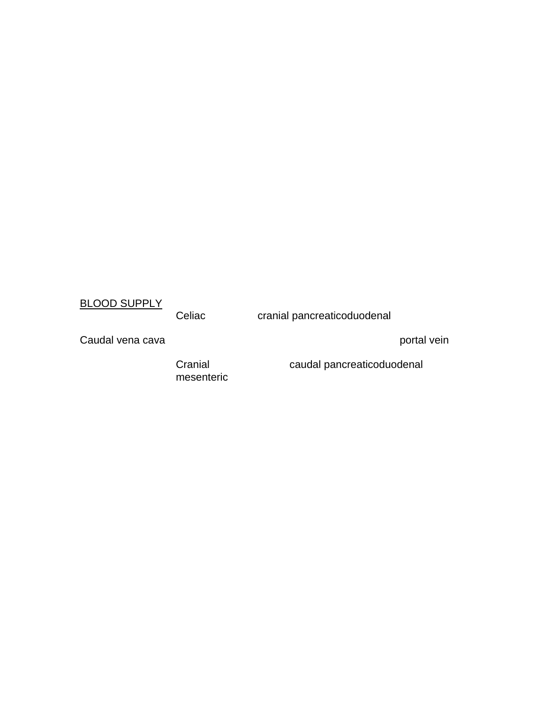### BLOOD SUPPLY

Celiac cranial pancreaticoduodenal

Caudal vena cava portal vein portal vein portal vein portal vein portal vein portal vein

mesenteric

Cranial caudal pancreaticoduodenal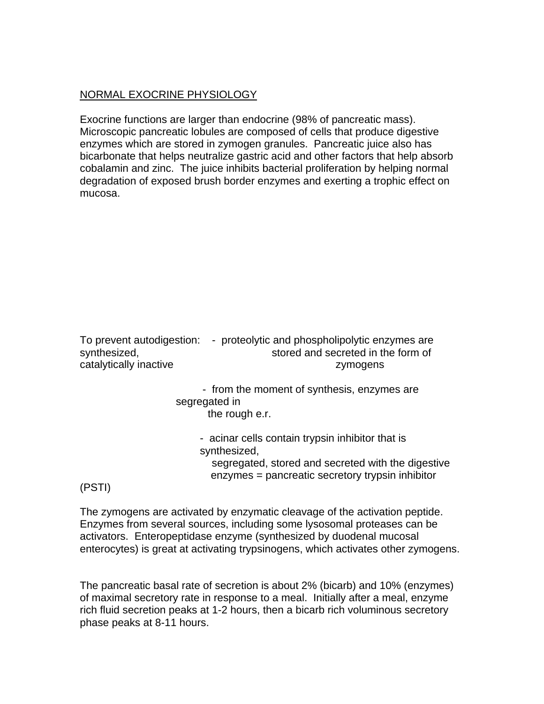### NORMAL EXOCRINE PHYSIOLOGY

Exocrine functions are larger than endocrine (98% of pancreatic mass). Microscopic pancreatic lobules are composed of cells that produce digestive enzymes which are stored in zymogen granules. Pancreatic juice also has bicarbonate that helps neutralize gastric acid and other factors that help absorb cobalamin and zinc. The juice inhibits bacterial proliferation by helping normal degradation of exposed brush border enzymes and exerting a trophic effect on mucosa.

| To prevent autodigestion: | - proteolytic and phospholipolytic enzymes are |
|---------------------------|------------------------------------------------|
| synthesized,              | stored and secreted in the form of             |
| catalytically inactive    | zymogens                                       |
|                           |                                                |

 - from the moment of synthesis, enzymes are segregated in the rough e.r.

- acinar cells contain trypsin inhibitor that is synthesized,

 segregated, stored and secreted with the digestive enzymes = pancreatic secretory trypsin inhibitor

### (PSTI)

The zymogens are activated by enzymatic cleavage of the activation peptide. Enzymes from several sources, including some lysosomal proteases can be activators. Enteropeptidase enzyme (synthesized by duodenal mucosal enterocytes) is great at activating trypsinogens, which activates other zymogens.

The pancreatic basal rate of secretion is about 2% (bicarb) and 10% (enzymes) of maximal secretory rate in response to a meal. Initially after a meal, enzyme rich fluid secretion peaks at 1-2 hours, then a bicarb rich voluminous secretory phase peaks at 8-11 hours.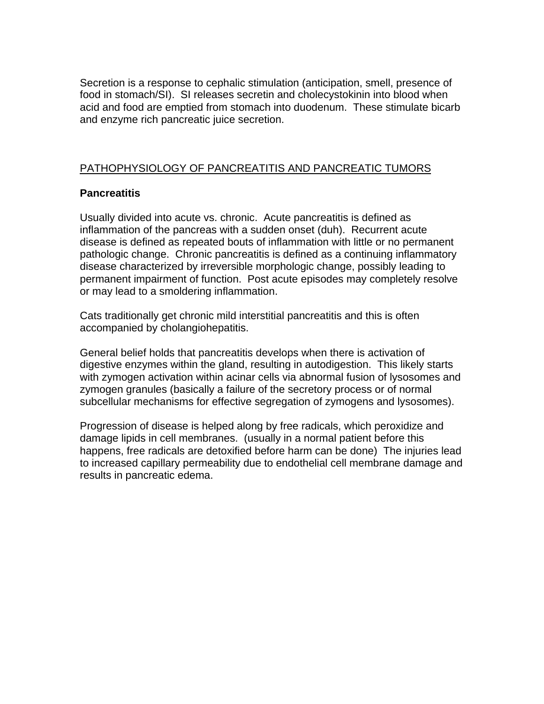Secretion is a response to cephalic stimulation (anticipation, smell, presence of food in stomach/SI). SI releases secretin and cholecystokinin into blood when acid and food are emptied from stomach into duodenum. These stimulate bicarb and enzyme rich pancreatic juice secretion.

### PATHOPHYSIOLOGY OF PANCREATITIS AND PANCREATIC TUMORS

### **Pancreatitis**

Usually divided into acute vs. chronic. Acute pancreatitis is defined as inflammation of the pancreas with a sudden onset (duh). Recurrent acute disease is defined as repeated bouts of inflammation with little or no permanent pathologic change. Chronic pancreatitis is defined as a continuing inflammatory disease characterized by irreversible morphologic change, possibly leading to permanent impairment of function. Post acute episodes may completely resolve or may lead to a smoldering inflammation.

Cats traditionally get chronic mild interstitial pancreatitis and this is often accompanied by cholangiohepatitis.

General belief holds that pancreatitis develops when there is activation of digestive enzymes within the gland, resulting in autodigestion. This likely starts with zymogen activation within acinar cells via abnormal fusion of lysosomes and zymogen granules (basically a failure of the secretory process or of normal subcellular mechanisms for effective segregation of zymogens and lysosomes).

Progression of disease is helped along by free radicals, which peroxidize and damage lipids in cell membranes. (usually in a normal patient before this happens, free radicals are detoxified before harm can be done) The injuries lead to increased capillary permeability due to endothelial cell membrane damage and results in pancreatic edema.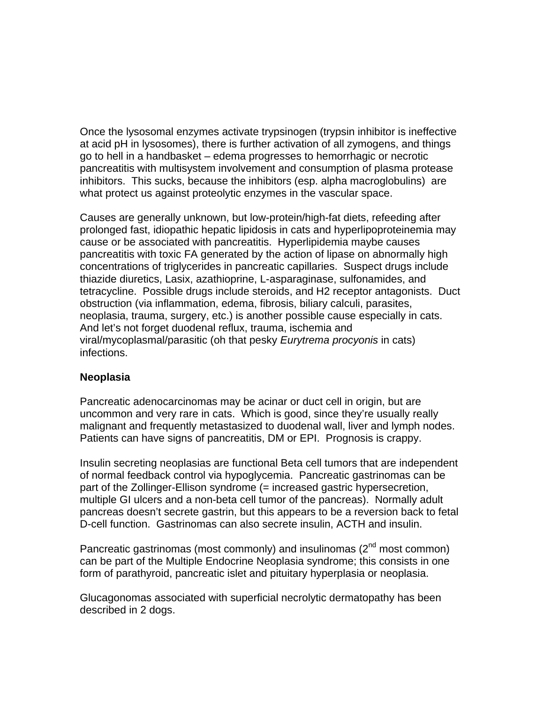Once the lysosomal enzymes activate trypsinogen (trypsin inhibitor is ineffective at acid pH in lysosomes), there is further activation of all zymogens, and things go to hell in a handbasket – edema progresses to hemorrhagic or necrotic pancreatitis with multisystem involvement and consumption of plasma protease inhibitors. This sucks, because the inhibitors (esp. alpha macroglobulins) are what protect us against proteolytic enzymes in the vascular space.

Causes are generally unknown, but low-protein/high-fat diets, refeeding after prolonged fast, idiopathic hepatic lipidosis in cats and hyperlipoproteinemia may cause or be associated with pancreatitis. Hyperlipidemia maybe causes pancreatitis with toxic FA generated by the action of lipase on abnormally high concentrations of triglycerides in pancreatic capillaries. Suspect drugs include thiazide diuretics, Lasix, azathioprine, L-asparaginase, sulfonamides, and tetracycline. Possible drugs include steroids, and H2 receptor antagonists. Duct obstruction (via inflammation, edema, fibrosis, biliary calculi, parasites, neoplasia, trauma, surgery, etc.) is another possible cause especially in cats. And let's not forget duodenal reflux, trauma, ischemia and viral/mycoplasmal/parasitic (oh that pesky *Eurytrema procyonis* in cats) infections.

### **Neoplasia**

Pancreatic adenocarcinomas may be acinar or duct cell in origin, but are uncommon and very rare in cats. Which is good, since they're usually really malignant and frequently metastasized to duodenal wall, liver and lymph nodes. Patients can have signs of pancreatitis, DM or EPI. Prognosis is crappy.

Insulin secreting neoplasias are functional Beta cell tumors that are independent of normal feedback control via hypoglycemia. Pancreatic gastrinomas can be part of the Zollinger-Ellison syndrome (= increased gastric hypersecretion, multiple GI ulcers and a non-beta cell tumor of the pancreas). Normally adult pancreas doesn't secrete gastrin, but this appears to be a reversion back to fetal D-cell function. Gastrinomas can also secrete insulin, ACTH and insulin.

Pancreatic gastrinomas (most commonly) and insulinomas  $(2^{nd}$  most common) can be part of the Multiple Endocrine Neoplasia syndrome; this consists in one form of parathyroid, pancreatic islet and pituitary hyperplasia or neoplasia.

Glucagonomas associated with superficial necrolytic dermatopathy has been described in 2 dogs.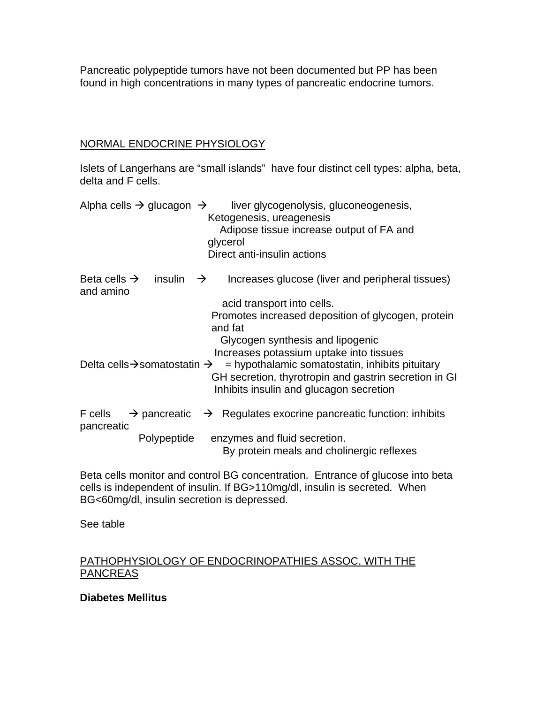Pancreatic polypeptide tumors have not been documented but PP has been found in high concentrations in many types of pancreatic endocrine tumors.

### NORMAL ENDOCRINE PHYSIOLOGY

Islets of Langerhans are "small islands" have four distinct cell types: alpha, beta, delta and F cells.

|                                       | Alpha cells $\rightarrow$ glucagon $\rightarrow$     | liver glycogenolysis, gluconeogenesis,<br>Ketogenesis, ureagenesis<br>Adipose tissue increase output of FA and<br>glycerol<br>Direct anti-insulin actions                                        |
|---------------------------------------|------------------------------------------------------|--------------------------------------------------------------------------------------------------------------------------------------------------------------------------------------------------|
| Beta cells $\rightarrow$<br>and amino | insulin $\rightarrow$                                | Increases glucose (liver and peripheral tissues)                                                                                                                                                 |
|                                       |                                                      | acid transport into cells.<br>Promotes increased deposition of glycogen, protein<br>and fat<br>Glycogen synthesis and lipogenic                                                                  |
|                                       | Delta cells $\rightarrow$ somatostatin $\rightarrow$ | Increases potassium uptake into tissues<br>$=$ hypothalamic somatostatin, inhibits pituitary<br>GH secretion, thyrotropin and gastrin secretion in GI<br>Inhibits insulin and glucagon secretion |
| F cells<br>pancreatic                 | $\rightarrow$ pancreatic                             | $\rightarrow$ Regulates exocrine pancreatic function: inhibits                                                                                                                                   |
|                                       | Polypeptide                                          | enzymes and fluid secretion.<br>By protein meals and cholinergic reflexes                                                                                                                        |

Beta cells monitor and control BG concentration. Entrance of glucose into beta cells is independent of insulin. If BG>110mg/dl, insulin is secreted. When BG<60mg/dl, insulin secretion is depressed.

See table

### PATHOPHYSIOLOGY OF ENDOCRINOPATHIES ASSOC. WITH THE **PANCREAS**

### **Diabetes Mellitus**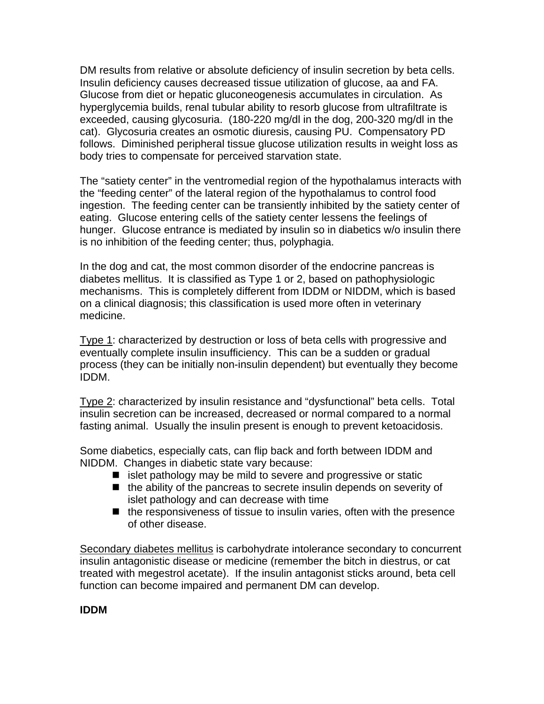DM results from relative or absolute deficiency of insulin secretion by beta cells. Insulin deficiency causes decreased tissue utilization of glucose, aa and FA. Glucose from diet or hepatic gluconeogenesis accumulates in circulation. As hyperglycemia builds, renal tubular ability to resorb glucose from ultrafiltrate is exceeded, causing glycosuria. (180-220 mg/dl in the dog, 200-320 mg/dl in the cat). Glycosuria creates an osmotic diuresis, causing PU. Compensatory PD follows. Diminished peripheral tissue glucose utilization results in weight loss as body tries to compensate for perceived starvation state.

The "satiety center" in the ventromedial region of the hypothalamus interacts with the "feeding center" of the lateral region of the hypothalamus to control food ingestion. The feeding center can be transiently inhibited by the satiety center of eating. Glucose entering cells of the satiety center lessens the feelings of hunger. Glucose entrance is mediated by insulin so in diabetics w/o insulin there is no inhibition of the feeding center; thus, polyphagia.

In the dog and cat, the most common disorder of the endocrine pancreas is diabetes mellitus. It is classified as Type 1 or 2, based on pathophysiologic mechanisms. This is completely different from IDDM or NIDDM, which is based on a clinical diagnosis; this classification is used more often in veterinary medicine.

Type 1: characterized by destruction or loss of beta cells with progressive and eventually complete insulin insufficiency. This can be a sudden or gradual process (they can be initially non-insulin dependent) but eventually they become IDDM.

Type 2: characterized by insulin resistance and "dysfunctional" beta cells. Total insulin secretion can be increased, decreased or normal compared to a normal fasting animal. Usually the insulin present is enough to prevent ketoacidosis.

Some diabetics, especially cats, can flip back and forth between IDDM and NIDDM. Changes in diabetic state vary because:

- $\blacksquare$  islet pathology may be mild to severe and progressive or static
- $\blacksquare$  the ability of the pancreas to secrete insulin depends on severity of islet pathology and can decrease with time
- $\blacksquare$  the responsiveness of tissue to insulin varies, often with the presence of other disease.

Secondary diabetes mellitus is carbohydrate intolerance secondary to concurrent insulin antagonistic disease or medicine (remember the bitch in diestrus, or cat treated with megestrol acetate). If the insulin antagonist sticks around, beta cell function can become impaired and permanent DM can develop.

### **IDDM**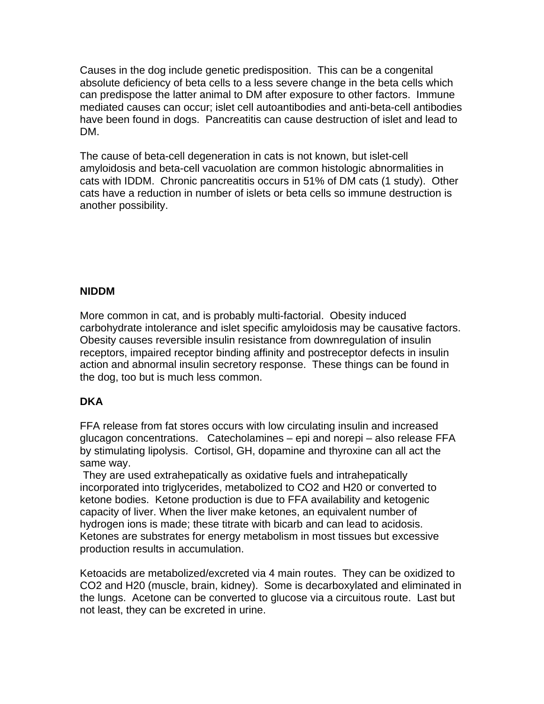Causes in the dog include genetic predisposition. This can be a congenital absolute deficiency of beta cells to a less severe change in the beta cells which can predispose the latter animal to DM after exposure to other factors. Immune mediated causes can occur; islet cell autoantibodies and anti-beta-cell antibodies have been found in dogs. Pancreatitis can cause destruction of islet and lead to DM.

The cause of beta-cell degeneration in cats is not known, but islet-cell amyloidosis and beta-cell vacuolation are common histologic abnormalities in cats with IDDM. Chronic pancreatitis occurs in 51% of DM cats (1 study). Other cats have a reduction in number of islets or beta cells so immune destruction is another possibility.

### **NIDDM**

More common in cat, and is probably multi-factorial. Obesity induced carbohydrate intolerance and islet specific amyloidosis may be causative factors. Obesity causes reversible insulin resistance from downregulation of insulin receptors, impaired receptor binding affinity and postreceptor defects in insulin action and abnormal insulin secretory response. These things can be found in the dog, too but is much less common.

### **DKA**

FFA release from fat stores occurs with low circulating insulin and increased glucagon concentrations. Catecholamines – epi and norepi – also release FFA by stimulating lipolysis. Cortisol, GH, dopamine and thyroxine can all act the same way.

 They are used extrahepatically as oxidative fuels and intrahepatically incorporated into triglycerides, metabolized to CO2 and H20 or converted to ketone bodies. Ketone production is due to FFA availability and ketogenic capacity of liver. When the liver make ketones, an equivalent number of hydrogen ions is made; these titrate with bicarb and can lead to acidosis. Ketones are substrates for energy metabolism in most tissues but excessive production results in accumulation.

Ketoacids are metabolized/excreted via 4 main routes. They can be oxidized to CO2 and H20 (muscle, brain, kidney). Some is decarboxylated and eliminated in the lungs. Acetone can be converted to glucose via a circuitous route. Last but not least, they can be excreted in urine.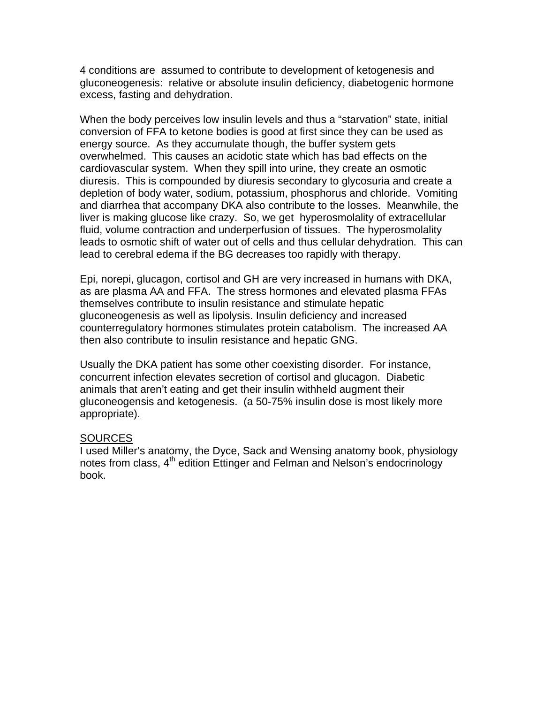4 conditions are assumed to contribute to development of ketogenesis and gluconeogenesis: relative or absolute insulin deficiency, diabetogenic hormone excess, fasting and dehydration.

When the body perceives low insulin levels and thus a "starvation" state, initial conversion of FFA to ketone bodies is good at first since they can be used as energy source. As they accumulate though, the buffer system gets overwhelmed. This causes an acidotic state which has bad effects on the cardiovascular system. When they spill into urine, they create an osmotic diuresis. This is compounded by diuresis secondary to glycosuria and create a depletion of body water, sodium, potassium, phosphorus and chloride. Vomiting and diarrhea that accompany DKA also contribute to the losses. Meanwhile, the liver is making glucose like crazy. So, we get hyperosmolality of extracellular fluid, volume contraction and underperfusion of tissues. The hyperosmolality leads to osmotic shift of water out of cells and thus cellular dehydration. This can lead to cerebral edema if the BG decreases too rapidly with therapy.

Epi, norepi, glucagon, cortisol and GH are very increased in humans with DKA, as are plasma AA and FFA. The stress hormones and elevated plasma FFAs themselves contribute to insulin resistance and stimulate hepatic gluconeogenesis as well as lipolysis. Insulin deficiency and increased counterregulatory hormones stimulates protein catabolism. The increased AA then also contribute to insulin resistance and hepatic GNG.

Usually the DKA patient has some other coexisting disorder. For instance, concurrent infection elevates secretion of cortisol and glucagon. Diabetic animals that aren't eating and get their insulin withheld augment their gluconeogensis and ketogenesis. (a 50-75% insulin dose is most likely more appropriate).

### SOURCES

I used Miller's anatomy, the Dyce, Sack and Wensing anatomy book, physiology notes from class, 4<sup>th</sup> edition Ettinger and Felman and Nelson's endocrinology book.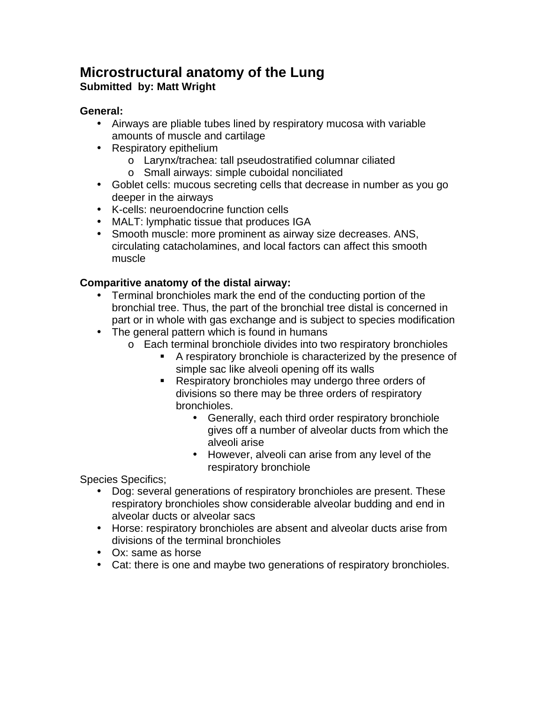### <span id="page-50-0"></span>**Microstructural anatomy of the Lung Submitted by: Matt Wright**

### **General:**

- Airways are pliable tubes lined by respiratory mucosa with variable amounts of muscle and cartilage
- Respiratory epithelium
	- o Larynx/trachea: tall pseudostratified columnar ciliated
	- o Small airways: simple cuboidal nonciliated
- Goblet cells: mucous secreting cells that decrease in number as you go deeper in the airways
- K-cells: neuroendocrine function cells
- MALT: lymphatic tissue that produces IGA
- Smooth muscle: more prominent as airway size decreases. ANS, circulating catacholamines, and local factors can affect this smooth muscle

### **Comparitive anatomy of the distal airway:**

- Terminal bronchioles mark the end of the conducting portion of the bronchial tree. Thus, the part of the bronchial tree distal is concerned in part or in whole with gas exchange and is subject to species modification
- The general pattern which is found in humans
	- o Each terminal bronchiole divides into two respiratory bronchioles
		- ! A respiratory bronchiole is characterized by the presence of simple sac like alveoli opening off its walls
		- ! Respiratory bronchioles may undergo three orders of divisions so there may be three orders of respiratory bronchioles.
			- Generally, each third order respiratory bronchiole gives off a number of alveolar ducts from which the alveoli arise
			- However, alveoli can arise from any level of the respiratory bronchiole

Species Specifics;

- Dog: several generations of respiratory bronchioles are present. These respiratory bronchioles show considerable alveolar budding and end in alveolar ducts or alveolar sacs
- Horse: respiratory bronchioles are absent and alveolar ducts arise from divisions of the terminal bronchioles
- Ox: same as horse
- Cat: there is one and maybe two generations of respiratory bronchioles.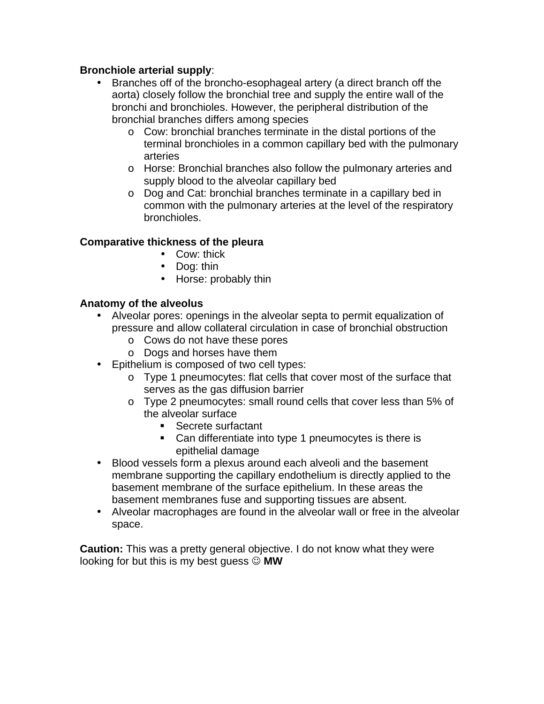### **Bronchiole arterial supply**:

- Branches off of the broncho-esophageal artery (a direct branch off the aorta) closely follow the bronchial tree and supply the entire wall of the bronchi and bronchioles. However, the peripheral distribution of the bronchial branches differs among species
	- o Cow: bronchial branches terminate in the distal portions of the terminal bronchioles in a common capillary bed with the pulmonary arteries
	- o Horse: Bronchial branches also follow the pulmonary arteries and supply blood to the alveolar capillary bed
	- o Dog and Cat: bronchial branches terminate in a capillary bed in common with the pulmonary arteries at the level of the respiratory bronchioles.

### **Comparative thickness of the pleura**

- Cow: thick
- Dog: thin
- Horse: probably thin

### **Anatomy of the alveolus**

- Alveolar pores: openings in the alveolar septa to permit equalization of pressure and allow collateral circulation in case of bronchial obstruction
	- o Cows do not have these pores
	- o Dogs and horses have them
- Epithelium is composed of two cell types:
	- o Type 1 pneumocytes: flat cells that cover most of the surface that serves as the gas diffusion barrier
	- o Type 2 pneumocytes: small round cells that cover less than 5% of the alveolar surface
		- ! Secrete surfactant
		- **EXEC** Can differentiate into type 1 pneumocytes is there is epithelial damage
- Blood vessels form a plexus around each alveoli and the basement membrane supporting the capillary endothelium is directly applied to the basement membrane of the surface epithelium. In these areas the basement membranes fuse and supporting tissues are absent.
- Alveolar macrophages are found in the alveolar wall or free in the alveolar space.

**Caution:** This was a pretty general objective. I do not know what they were looking for but this is my best guess ☺ **MW**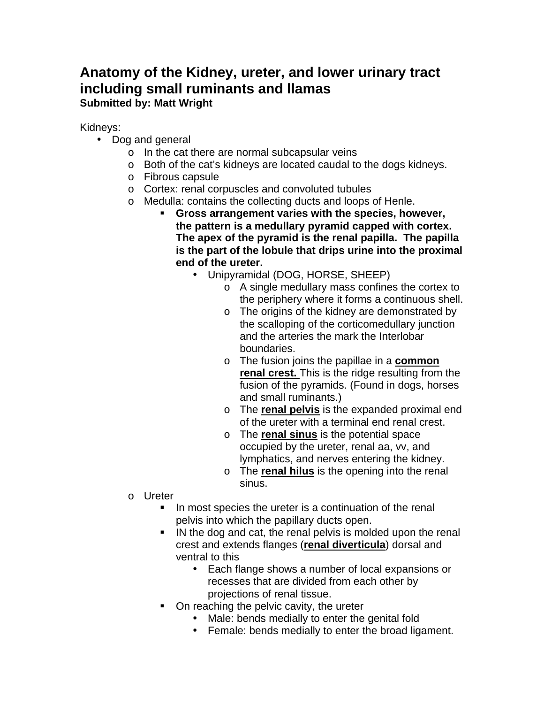### <span id="page-52-0"></span>**Anatomy of the Kidney, ureter, and lower urinary tract including small ruminants and llamas Submitted by: Matt Wright**

Kidneys:

- Dog and general
	- o In the cat there are normal subcapsular veins
	- o Both of the cat's kidneys are located caudal to the dogs kidneys.
	- o Fibrous capsule
	- o Cortex: renal corpuscles and convoluted tubules
	- o Medulla: contains the collecting ducts and loops of Henle.
		- ! **Gross arrangement varies with the species, however, the pattern is a medullary pyramid capped with cortex. The apex of the pyramid is the renal papilla. The papilla is the part of the lobule that drips urine into the proximal end of the ureter.**
			- Unipyramidal (DOG, HORSE, SHEEP)
				- o A single medullary mass confines the cortex to the periphery where it forms a continuous shell.
				- o The origins of the kidney are demonstrated by the scalloping of the corticomedullary junction and the arteries the mark the Interlobar boundaries.
				- o The fusion joins the papillae in a **common renal crest.** This is the ridge resulting from the fusion of the pyramids. (Found in dogs, horses and small ruminants.)
				- o The **renal pelvis** is the expanded proximal end of the ureter with a terminal end renal crest.
				- o The **renal sinus** is the potential space occupied by the ureter, renal aa, vv, and lymphatics, and nerves entering the kidney.
				- o The **renal hilus** is the opening into the renal sinus.
	- o Ureter
		- ! In most species the ureter is a continuation of the renal pelvis into which the papillary ducts open.
		- ! IN the dog and cat, the renal pelvis is molded upon the renal crest and extends flanges (**renal diverticula**) dorsal and ventral to this
			- Each flange shows a number of local expansions or recesses that are divided from each other by projections of renal tissue.
		- On reaching the pelvic cavity, the ureter
			- Male: bends medially to enter the genital fold
			- Female: bends medially to enter the broad ligament.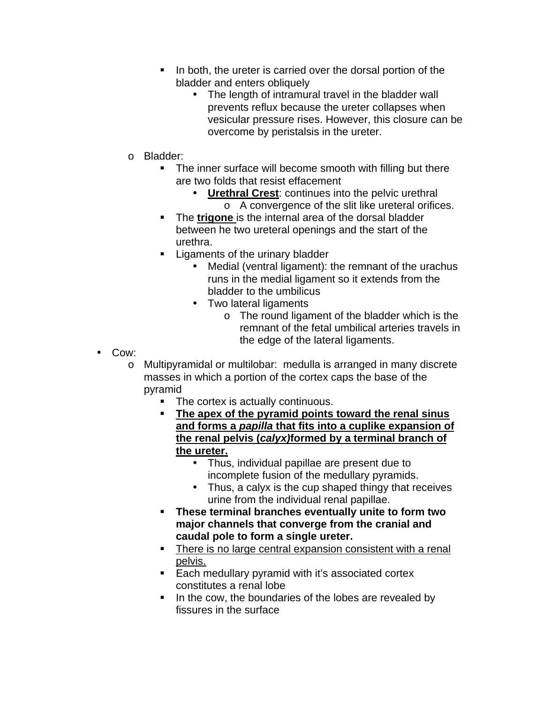- ! In both, the ureter is carried over the dorsal portion of the bladder and enters obliquely
	- The length of intramural travel in the bladder wall prevents reflux because the ureter collapses when vesicular pressure rises. However, this closure can be overcome by peristalsis in the ureter.
- o Bladder:
	- **.** The inner surface will become smooth with filling but there are two folds that resist effacement
		- **Urethral Crest**: continues into the pelvic urethral o A convergence of the slit like ureteral orifices.
	- ! The **trigone** is the internal area of the dorsal bladder between he two ureteral openings and the start of the urethra.
	- **Example 1** Ligaments of the urinary bladder
		- Medial (ventral ligament): the remnant of the urachus runs in the medial ligament so it extends from the bladder to the umbilicus
		- Two lateral ligaments
			- o The round ligament of the bladder which is the remnant of the fetal umbilical arteries travels in the edge of the lateral ligaments.
- Cow:
	- o Multipyramidal or multilobar: medulla is arranged in many discrete masses in which a portion of the cortex caps the base of the pyramid
		- The cortex is actually continuous.
		- ! **The apex of the pyramid points toward the renal sinus and forms a** *papilla* **that fits into a cuplike expansion of the renal pelvis (***calyx)***formed by a terminal branch of the ureter.**
			- Thus, individual papillae are present due to incomplete fusion of the medullary pyramids.
			- Thus, a calyx is the cup shaped thingy that receives urine from the individual renal papillae.
		- ! **These terminal branches eventually unite to form two major channels that converge from the cranial and caudal pole to form a single ureter.**
		- There is no large central expansion consistent with a renal pelvis.
		- **Each medullary pyramid with it's associated cortex** constitutes a renal lobe
		- **IF** In the cow, the boundaries of the lobes are revealed by fissures in the surface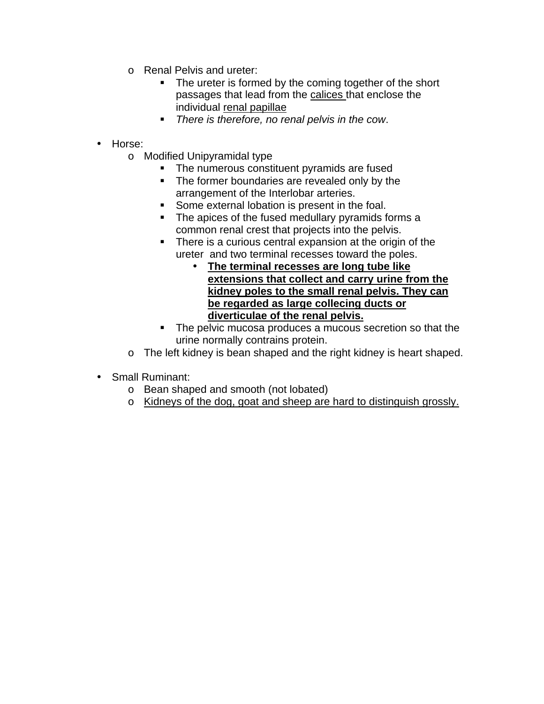- o Renal Pelvis and ureter:
	- **The ureter is formed by the coming together of the short** passages that lead from the calices that enclose the individual renal papillae
	- ! *There is therefore, no renal pelvis in the cow*.
- Horse:
	- o Modified Unipyramidal type
		- **The numerous constituent pyramids are fused**
		- **The former boundaries are revealed only by the** arrangement of the Interlobar arteries.
		- **Some external lobation is present in the foal.**
		- The apices of the fused medullary pyramids forms a common renal crest that projects into the pelvis.
		- ! There is a curious central expansion at the origin of the ureter and two terminal recesses toward the poles.
			- **The terminal recesses are long tube like extensions that collect and carry urine from the kidney poles to the small renal pelvis. They can be regarded as large collecing ducts or diverticulae of the renal pelvis.**
		- **The pelvic mucosa produces a mucous secretion so that the** urine normally contrains protein.
	- o The left kidney is bean shaped and the right kidney is heart shaped.
- Small Ruminant:
	- o Bean shaped and smooth (not lobated)
	- o Kidneys of the dog, goat and sheep are hard to distinguish grossly.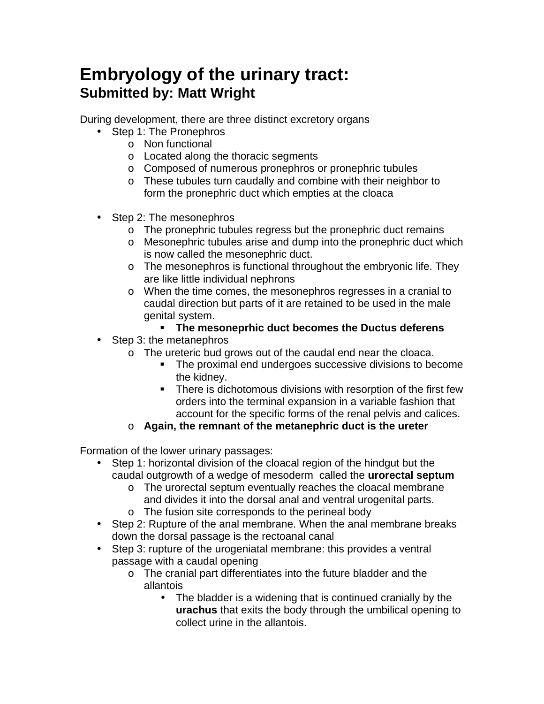## <span id="page-55-0"></span>**Embryology of the urinary tract: Submitted by: Matt Wright**

During development, there are three distinct excretory organs

- Step 1: The Pronephros
	- o Non functional
	- o Located along the thoracic segments
	- o Composed of numerous pronephros or pronephric tubules
	- o These tubules turn caudally and combine with their neighbor to form the pronephric duct which empties at the cloaca
- Step 2: The mesonephros
	- o The pronephric tubules regress but the pronephric duct remains
	- o Mesonephric tubules arise and dump into the pronephric duct which is now called the mesonephric duct.
	- o The mesonephros is functional throughout the embryonic life. They are like little individual nephrons
	- o When the time comes, the mesonephros regresses in a cranial to caudal direction but parts of it are retained to be used in the male genital system.
		- ! **The mesoneprhic duct becomes the Ductus deferens**
- Step 3: the metanephros
	- o The ureteric bud grows out of the caudal end near the cloaca.
		- ! The proximal end undergoes successive divisions to become the kidney.
		- **EXECT:** There is dichotomous divisions with resorption of the first few orders into the terminal expansion in a variable fashion that account for the specific forms of the renal pelvis and calices.
	- o **Again, the remnant of the metanephric duct is the ureter**

Formation of the lower urinary passages:

- Step 1: horizontal division of the cloacal region of the hindgut but the caudal outgrowth of a wedge of mesoderm called the **urorectal septum**
	- o The urorectal septum eventually reaches the cloacal membrane and divides it into the dorsal anal and ventral urogenital parts.
	- o The fusion site corresponds to the perineal body
- Step 2: Rupture of the anal membrane. When the anal membrane breaks down the dorsal passage is the rectoanal canal
- Step 3: rupture of the urogeniatal membrane: this provides a ventral passage with a caudal opening
	- o The cranial part differentiates into the future bladder and the allantois
		- The bladder is a widening that is continued cranially by the **urachus** that exits the body through the umbilical opening to collect urine in the allantois.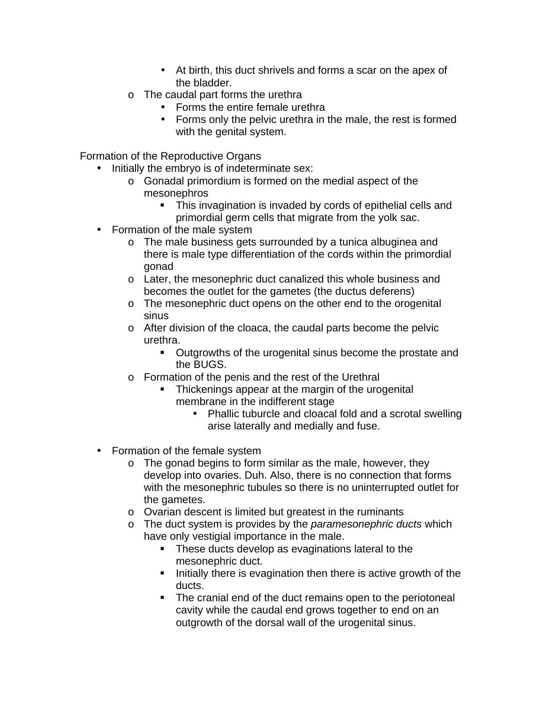- At birth, this duct shrivels and forms a scar on the apex of the bladder.
- o The caudal part forms the urethra
	- Forms the entire female urethra
	- Forms only the pelvic urethra in the male, the rest is formed with the genital system.

Formation of the Reproductive Organs

- Initially the embryo is of indeterminate sex:
	- o Gonadal primordium is formed on the medial aspect of the mesonephros
		- ! This invagination is invaded by cords of epithelial cells and primordial germ cells that migrate from the yolk sac.
- Formation of the male system
	- o The male business gets surrounded by a tunica albuginea and there is male type differentiation of the cords within the primordial gonad
	- o Later, the mesonephric duct canalized this whole business and becomes the outlet for the gametes (the ductus deferens)
	- o The mesonephric duct opens on the other end to the orogenital sinus
	- o After division of the cloaca, the caudal parts become the pelvic urethra.
		- ! Outgrowths of the urogenital sinus become the prostate and the BUGS.
	- o Formation of the penis and the rest of the Urethral
		- ! Thickenings appear at the margin of the urogenital membrane in the indifferent stage
			- Phallic tuburcle and cloacal fold and a scrotal swelling arise laterally and medially and fuse.
- Formation of the female system
	- o The gonad begins to form similar as the male, however, they develop into ovaries. Duh. Also, there is no connection that forms with the mesonephric tubules so there is no uninterrupted outlet for the gametes.
	- o Ovarian descent is limited but greatest in the ruminants
	- o The duct system is provides by the *paramesonephric ducts* which have only vestigial importance in the male.
		- ! These ducts develop as evaginations lateral to the mesonephric duct.
		- ! Initially there is evagination then there is active growth of the ducts.
		- ! The cranial end of the duct remains open to the periotoneal cavity while the caudal end grows together to end on an outgrowth of the dorsal wall of the urogenital sinus.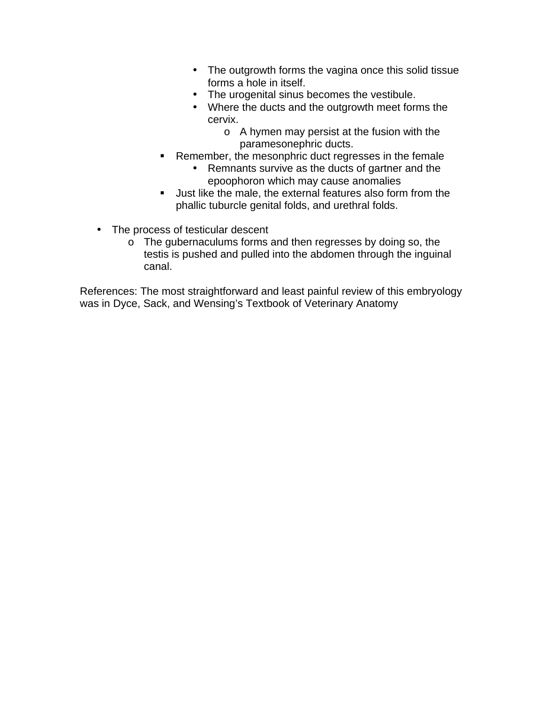- The outgrowth forms the vagina once this solid tissue forms a hole in itself.
- The urogenital sinus becomes the vestibule.
- Where the ducts and the outgrowth meet forms the cervix.
	- o A hymen may persist at the fusion with the paramesonephric ducts.
- **EXE** Remember, the mesonphric duct regresses in the female
	- Remnants survive as the ducts of gartner and the epoophoron which may cause anomalies
- ! Just like the male, the external features also form from the phallic tuburcle genital folds, and urethral folds.
- The process of testicular descent
	- o The gubernaculums forms and then regresses by doing so, the testis is pushed and pulled into the abdomen through the inguinal canal.

References: The most straightforward and least painful review of this embryology was in Dyce, Sack, and Wensing's Textbook of Veterinary Anatomy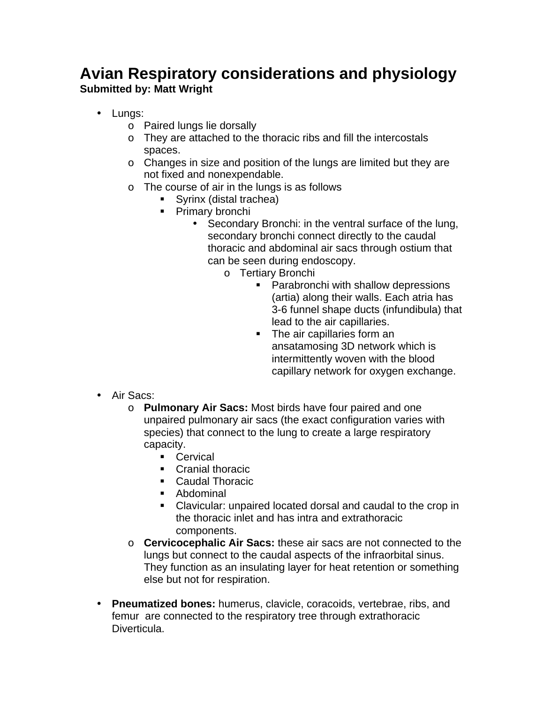### <span id="page-58-0"></span>**Avian Respiratory considerations and physiology Submitted by: Matt Wright**

- Lungs:
	- o Paired lungs lie dorsally
	- o They are attached to the thoracic ribs and fill the intercostals spaces.
	- o Changes in size and position of the lungs are limited but they are not fixed and nonexpendable.
	- o The course of air in the lungs is as follows
		- ! Syrinx (distal trachea)
		- **Primary bronchi** 
			- Secondary Bronchi: in the ventral surface of the lung, secondary bronchi connect directly to the caudal thoracic and abdominal air sacs through ostium that can be seen during endoscopy.
				- o Tertiary Bronchi
					- **EXECUTE:** Parabronchi with shallow depressions (artia) along their walls. Each atria has 3-6 funnel shape ducts (infundibula) that lead to the air capillaries.
					- ! The air capillaries form an ansatamosing 3D network which is intermittently woven with the blood capillary network for oxygen exchange.

- Air Sacs:
	- o **Pulmonary Air Sacs:** Most birds have four paired and one unpaired pulmonary air sacs (the exact configuration varies with species) that connect to the lung to create a large respiratory capacity.
		- ! Cervical
		- **Cranial thoracic**
		- Caudal Thoracic
		- ! Abdominal
		- ! Clavicular: unpaired located dorsal and caudal to the crop in the thoracic inlet and has intra and extrathoracic components.
	- o **Cervicocephalic Air Sacs:** these air sacs are not connected to the lungs but connect to the caudal aspects of the infraorbital sinus. They function as an insulating layer for heat retention or something else but not for respiration.
- **Pneumatized bones:** humerus, clavicle, coracoids, vertebrae, ribs, and femur are connected to the respiratory tree through extrathoracic Diverticula.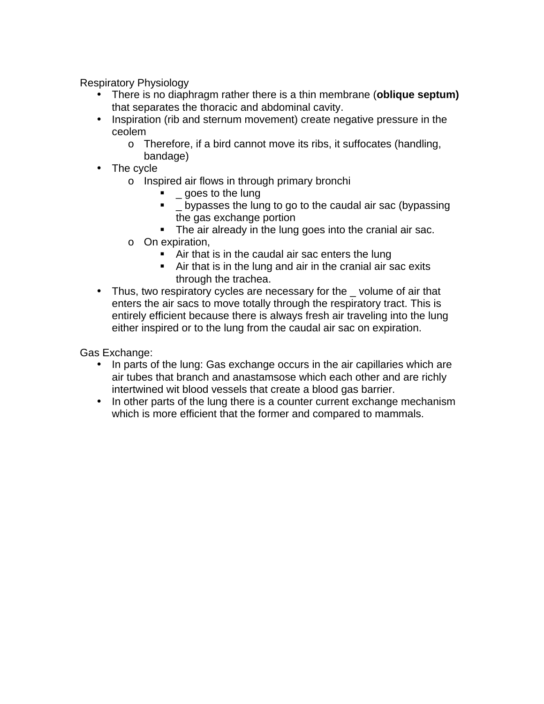Respiratory Physiology

- There is no diaphragm rather there is a thin membrane (**oblique septum)** that separates the thoracic and abdominal cavity.
- Inspiration (rib and sternum movement) create negative pressure in the ceolem
	- o Therefore, if a bird cannot move its ribs, it suffocates (handling, bandage)
- The cycle
	- o Inspired air flows in through primary bronchi
		- ! \_ goes to the lung
		- **•** Lypasses the lung to go to the caudal air sac (bypassing the gas exchange portion
		- **The air already in the lung goes into the cranial air sac.**
	- o On expiration,
		- ! Air that is in the caudal air sac enters the lung
		- ! Air that is in the lung and air in the cranial air sac exits through the trachea.
- Thus, two respiratory cycles are necessary for the \_volume of air that enters the air sacs to move totally through the respiratory tract. This is entirely efficient because there is always fresh air traveling into the lung either inspired or to the lung from the caudal air sac on expiration.

Gas Exchange:

- In parts of the lung: Gas exchange occurs in the air capillaries which are air tubes that branch and anastamsose which each other and are richly intertwined wit blood vessels that create a blood gas barrier.
- In other parts of the lung there is a counter current exchange mechanism which is more efficient that the former and compared to mammals.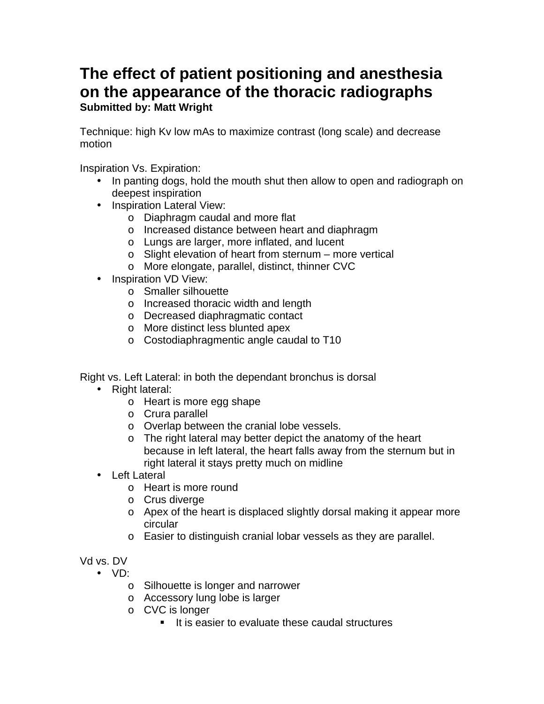### <span id="page-60-0"></span>**The effect of patient positioning and anesthesia on the appearance of the thoracic radiographs Submitted by: Matt Wright**

Technique: high Kv low mAs to maximize contrast (long scale) and decrease motion

Inspiration Vs. Expiration:

- In panting dogs, hold the mouth shut then allow to open and radiograph on deepest inspiration
- Inspiration Lateral View:
	- o Diaphragm caudal and more flat
	- o Increased distance between heart and diaphragm
	- o Lungs are larger, more inflated, and lucent
	- o Slight elevation of heart from sternum more vertical
	- o More elongate, parallel, distinct, thinner CVC
- Inspiration VD View:
	- o Smaller silhouette
	- o Increased thoracic width and length
	- o Decreased diaphragmatic contact
	- o More distinct less blunted apex
	- o Costodiaphragmentic angle caudal to T10

Right vs. Left Lateral: in both the dependant bronchus is dorsal

- Right lateral:
	- o Heart is more egg shape
	- o Crura parallel
	- o Overlap between the cranial lobe vessels.
	- o The right lateral may better depict the anatomy of the heart because in left lateral, the heart falls away from the sternum but in right lateral it stays pretty much on midline
- Left Lateral
	- o Heart is more round
	- o Crus diverge
	- o Apex of the heart is displaced slightly dorsal making it appear more circular
	- o Easier to distinguish cranial lobar vessels as they are parallel.

Vd vs. DV

- VD:
	- o Silhouette is longer and narrower
	- o Accessory lung lobe is larger
	- o CVC is longer
		- ! It is easier to evaluate these caudal structures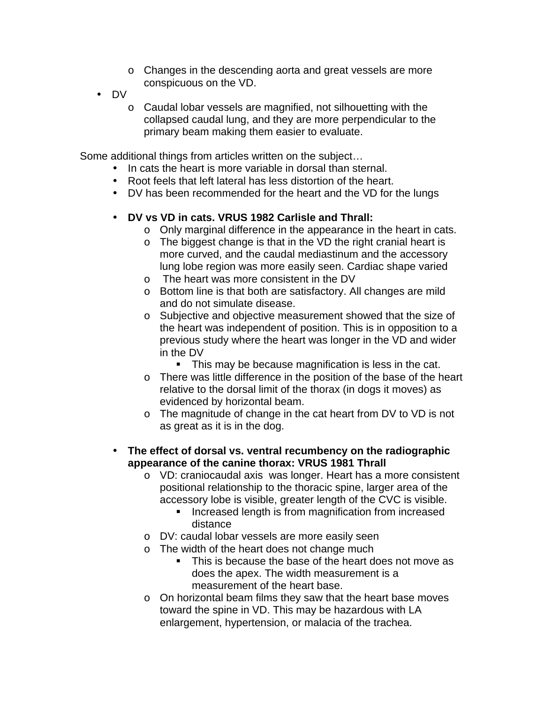- o Changes in the descending aorta and great vessels are more conspicuous on the VD.
- DV
	- o Caudal lobar vessels are magnified, not silhouetting with the collapsed caudal lung, and they are more perpendicular to the primary beam making them easier to evaluate.

Some additional things from articles written on the subject…

- In cats the heart is more variable in dorsal than sternal.
- Root feels that left lateral has less distortion of the heart.
- DV has been recommended for the heart and the VD for the lungs

### • **DV vs VD in cats. VRUS 1982 Carlisle and Thrall:**

- o Only marginal difference in the appearance in the heart in cats.
- o The biggest change is that in the VD the right cranial heart is more curved, and the caudal mediastinum and the accessory lung lobe region was more easily seen. Cardiac shape varied
- o The heart was more consistent in the DV
- o Bottom line is that both are satisfactory. All changes are mild and do not simulate disease.
- o Subjective and objective measurement showed that the size of the heart was independent of position. This is in opposition to a previous study where the heart was longer in the VD and wider in the DV
	- ! This may be because magnification is less in the cat.
- o There was little difference in the position of the base of the heart relative to the dorsal limit of the thorax (in dogs it moves) as evidenced by horizontal beam.
- o The magnitude of change in the cat heart from DV to VD is not as great as it is in the dog.
- **The effect of dorsal vs. ventral recumbency on the radiographic appearance of the canine thorax: VRUS 1981 Thrall**
	- o VD: craniocaudal axis was longer. Heart has a more consistent positional relationship to the thoracic spine, larger area of the accessory lobe is visible, greater length of the CVC is visible.
		- **If** Increased length is from magnification from increased distance
	- o DV: caudal lobar vessels are more easily seen
	- o The width of the heart does not change much
		- ! This is because the base of the heart does not move as does the apex. The width measurement is a measurement of the heart base.
	- o On horizontal beam films they saw that the heart base moves toward the spine in VD. This may be hazardous with LA enlargement, hypertension, or malacia of the trachea.